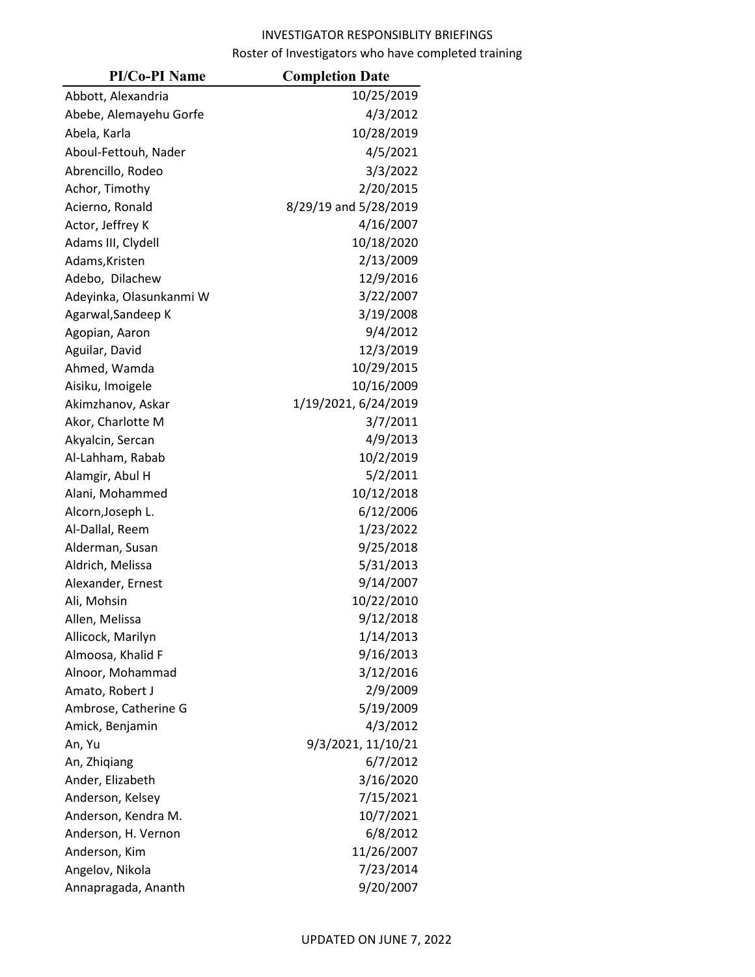| <b>PI/Co-PI Name</b>    | <b>Completion Date</b> |
|-------------------------|------------------------|
| Abbott, Alexandria      | 10/25/2019             |
| Abebe, Alemayehu Gorfe  | 4/3/2012               |
| Abela, Karla            | 10/28/2019             |
| Aboul-Fettouh, Nader    | 4/5/2021               |
| Abrencillo, Rodeo       | 3/3/2022               |
| Achor, Timothy          | 2/20/2015              |
| Acierno, Ronald         | 8/29/19 and 5/28/2019  |
| Actor, Jeffrey K        | 4/16/2007              |
| Adams III, Clydell      | 10/18/2020             |
| Adams, Kristen          | 2/13/2009              |
| Adebo, Dilachew         | 12/9/2016              |
| Adeyinka, Olasunkanmi W | 3/22/2007              |
| Agarwal, Sandeep K      | 3/19/2008              |
| Agopian, Aaron          | 9/4/2012               |
| Aguilar, David          | 12/3/2019              |
| Ahmed, Wamda            | 10/29/2015             |
| Aisiku, Imoigele        | 10/16/2009             |
| Akimzhanov, Askar       | 1/19/2021, 6/24/2019   |
| Akor, Charlotte M       | 3/7/2011               |
| Akyalcin, Sercan        | 4/9/2013               |
| Al-Lahham, Rabab        | 10/2/2019              |
| Alamgir, Abul H         | 5/2/2011               |
| Alani, Mohammed         | 10/12/2018             |
| Alcorn, Joseph L.       | 6/12/2006              |
| Al-Dallal, Reem         | 1/23/2022              |
| Alderman, Susan         | 9/25/2018              |
| Aldrich, Melissa        | 5/31/2013              |
| Alexander, Ernest       | 9/14/2007              |
| Ali, Mohsin             | 10/22/2010             |
| Allen, Melissa          | 9/12/2018              |
| Allicock, Marilyn       | 1/14/2013              |
| Almoosa, Khalid F       | 9/16/2013              |
| Alnoor, Mohammad        | 3/12/2016              |
| Amato, Robert J         | 2/9/2009               |
| Ambrose, Catherine G    | 5/19/2009              |
| Amick, Benjamin         | 4/3/2012               |
| An, Yu                  | 9/3/2021, 11/10/21     |
| An, Zhiqiang            | 6/7/2012               |
| Ander, Elizabeth        | 3/16/2020              |
| Anderson, Kelsey        | 7/15/2021              |
| Anderson, Kendra M.     | 10/7/2021              |
| Anderson, H. Vernon     | 6/8/2012               |
| Anderson, Kim           | 11/26/2007             |
| Angelov, Nikola         | 7/23/2014              |
| Annapragada, Ananth     | 9/20/2007              |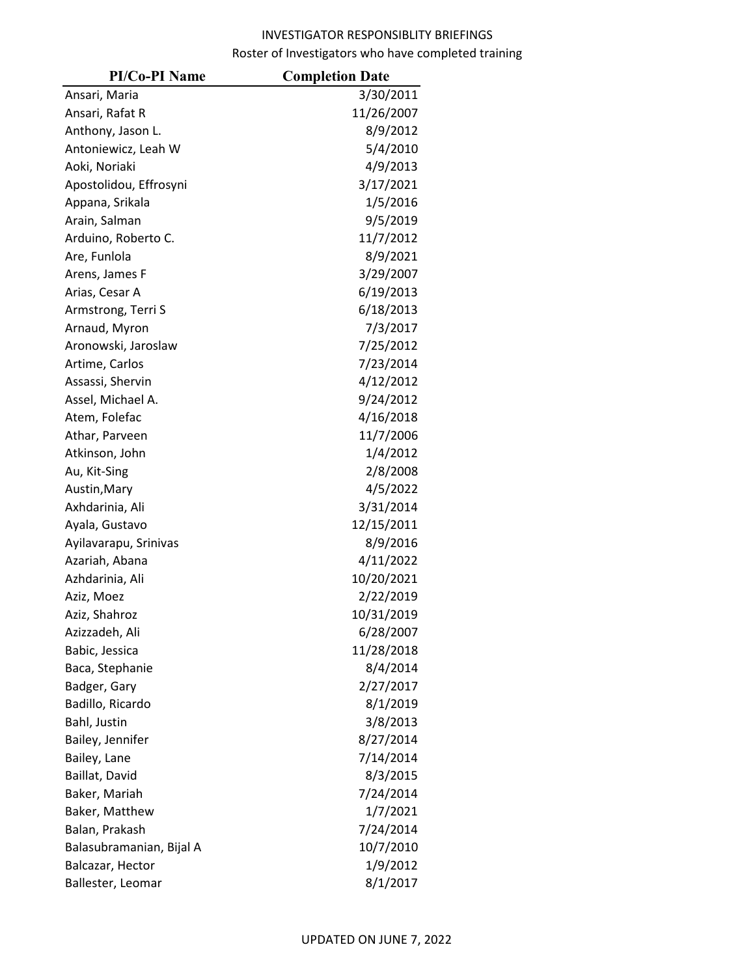| <b>PI/Co-PI Name</b>     | <b>Completion Date</b> |
|--------------------------|------------------------|
| Ansari, Maria            | 3/30/2011              |
| Ansari, Rafat R          | 11/26/2007             |
| Anthony, Jason L.        | 8/9/2012               |
| Antoniewicz, Leah W      | 5/4/2010               |
| Aoki, Noriaki            | 4/9/2013               |
| Apostolidou, Effrosyni   | 3/17/2021              |
| Appana, Srikala          | 1/5/2016               |
| Arain, Salman            | 9/5/2019               |
| Arduino, Roberto C.      | 11/7/2012              |
| Are, Funlola             | 8/9/2021               |
| Arens, James F           | 3/29/2007              |
| Arias, Cesar A           | 6/19/2013              |
| Armstrong, Terri S       | 6/18/2013              |
| Arnaud, Myron            | 7/3/2017               |
| Aronowski, Jaroslaw      | 7/25/2012              |
| Artime, Carlos           | 7/23/2014              |
| Assassi, Shervin         | 4/12/2012              |
| Assel, Michael A.        | 9/24/2012              |
| Atem, Folefac            | 4/16/2018              |
| Athar, Parveen           | 11/7/2006              |
| Atkinson, John           | 1/4/2012               |
| Au, Kit-Sing             | 2/8/2008               |
| Austin, Mary             | 4/5/2022               |
| Axhdarinia, Ali          | 3/31/2014              |
| Ayala, Gustavo           | 12/15/2011             |
| Ayilavarapu, Srinivas    | 8/9/2016               |
| Azariah, Abana           | 4/11/2022              |
| Azhdarinia, Ali          | 10/20/2021             |
| Aziz, Moez               | 2/22/2019              |
| Aziz, Shahroz            | 10/31/2019             |
| Azizzadeh, Ali           | 6/28/2007              |
| Babic, Jessica           | 11/28/2018             |
| Baca, Stephanie          | 8/4/2014               |
| Badger, Gary             | 2/27/2017              |
| Badillo, Ricardo         | 8/1/2019               |
| Bahl, Justin             | 3/8/2013               |
| Bailey, Jennifer         | 8/27/2014              |
| Bailey, Lane             | 7/14/2014              |
| Baillat, David           | 8/3/2015               |
| Baker, Mariah            | 7/24/2014              |
| Baker, Matthew           | 1/7/2021               |
| Balan, Prakash           | 7/24/2014              |
| Balasubramanian, Bijal A | 10/7/2010              |
| Balcazar, Hector         | 1/9/2012               |
| Ballester, Leomar        | 8/1/2017               |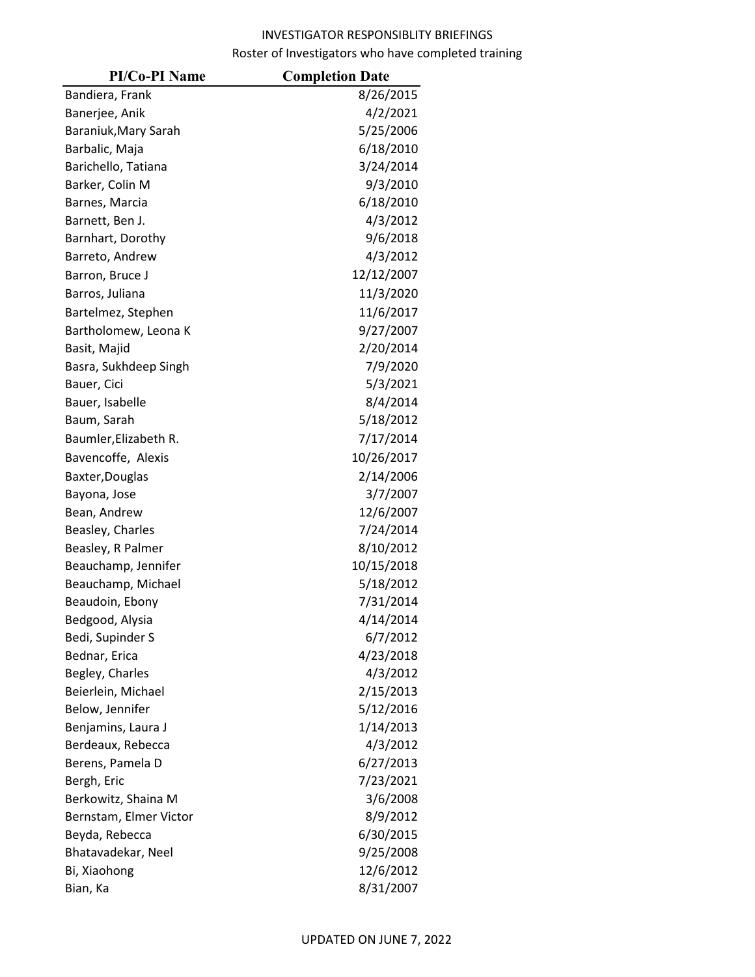| <b>PI/Co-PI Name</b>   | <b>Completion Date</b> |
|------------------------|------------------------|
| Bandiera, Frank        | 8/26/2015              |
| Banerjee, Anik         | 4/2/2021               |
| Baraniuk, Mary Sarah   | 5/25/2006              |
| Barbalic, Maja         | 6/18/2010              |
| Barichello, Tatiana    | 3/24/2014              |
| Barker, Colin M        | 9/3/2010               |
| Barnes, Marcia         | 6/18/2010              |
| Barnett, Ben J.        | 4/3/2012               |
| Barnhart, Dorothy      | 9/6/2018               |
| Barreto, Andrew        | 4/3/2012               |
| Barron, Bruce J        | 12/12/2007             |
| Barros, Juliana        | 11/3/2020              |
| Bartelmez, Stephen     | 11/6/2017              |
| Bartholomew, Leona K   | 9/27/2007              |
| Basit, Majid           | 2/20/2014              |
| Basra, Sukhdeep Singh  | 7/9/2020               |
| Bauer, Cici            | 5/3/2021               |
| Bauer, Isabelle        | 8/4/2014               |
| Baum, Sarah            | 5/18/2012              |
| Baumler, Elizabeth R.  | 7/17/2014              |
| Bavencoffe, Alexis     | 10/26/2017             |
| Baxter, Douglas        | 2/14/2006              |
| Bayona, Jose           | 3/7/2007               |
| Bean, Andrew           | 12/6/2007              |
| Beasley, Charles       | 7/24/2014              |
| Beasley, R Palmer      | 8/10/2012              |
| Beauchamp, Jennifer    | 10/15/2018             |
| Beauchamp, Michael     | 5/18/2012              |
| Beaudoin, Ebony        | 7/31/2014              |
| Bedgood, Alysia        | 4/14/2014              |
| Bedi, Supinder S       | 6/7/2012               |
| Bednar, Erica          | 4/23/2018              |
| Begley, Charles        | 4/3/2012               |
| Beierlein, Michael     | 2/15/2013              |
| Below, Jennifer        | 5/12/2016              |
| Benjamins, Laura J     | 1/14/2013              |
| Berdeaux, Rebecca      | 4/3/2012               |
| Berens, Pamela D       | 6/27/2013              |
| Bergh, Eric            | 7/23/2021              |
| Berkowitz, Shaina M    | 3/6/2008               |
| Bernstam, Elmer Victor | 8/9/2012               |
| Beyda, Rebecca         | 6/30/2015              |
| Bhatavadekar, Neel     | 9/25/2008              |
| Bi, Xiaohong           | 12/6/2012              |
| Bian, Ka               | 8/31/2007              |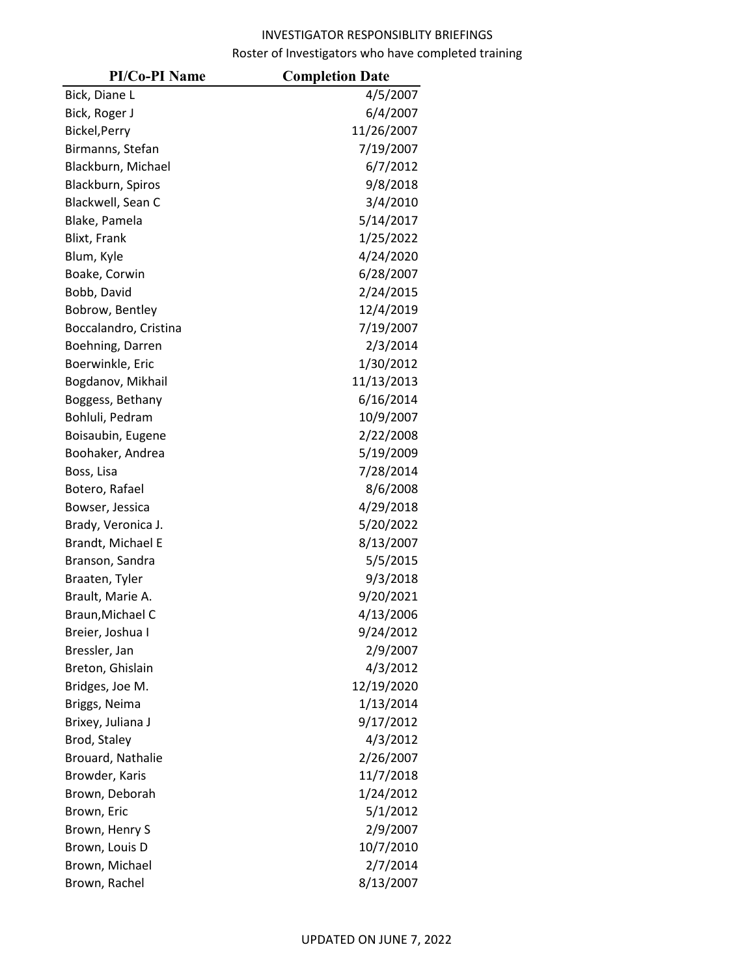| <b>PI/Co-PI Name</b>  | <b>Completion Date</b> |
|-----------------------|------------------------|
| Bick, Diane L         | 4/5/2007               |
| Bick, Roger J         | 6/4/2007               |
| Bickel, Perry         | 11/26/2007             |
| Birmanns, Stefan      | 7/19/2007              |
| Blackburn, Michael    | 6/7/2012               |
| Blackburn, Spiros     | 9/8/2018               |
| Blackwell, Sean C     | 3/4/2010               |
| Blake, Pamela         | 5/14/2017              |
| Blixt, Frank          | 1/25/2022              |
| Blum, Kyle            | 4/24/2020              |
| Boake, Corwin         | 6/28/2007              |
| Bobb, David           | 2/24/2015              |
| Bobrow, Bentley       | 12/4/2019              |
| Boccalandro, Cristina | 7/19/2007              |
| Boehning, Darren      | 2/3/2014               |
| Boerwinkle, Eric      | 1/30/2012              |
| Bogdanov, Mikhail     | 11/13/2013             |
| Boggess, Bethany      | 6/16/2014              |
| Bohluli, Pedram       | 10/9/2007              |
| Boisaubin, Eugene     | 2/22/2008              |
| Boohaker, Andrea      | 5/19/2009              |
| Boss, Lisa            | 7/28/2014              |
| Botero, Rafael        | 8/6/2008               |
| Bowser, Jessica       | 4/29/2018              |
| Brady, Veronica J.    | 5/20/2022              |
| Brandt, Michael E     | 8/13/2007              |
| Branson, Sandra       | 5/5/2015               |
| Braaten, Tyler        | 9/3/2018               |
| Brault, Marie A.      | 9/20/2021              |
| Braun, Michael C      | 4/13/2006              |
| Breier, Joshua I      | 9/24/2012              |
| Bressler, Jan         | 2/9/2007               |
| Breton, Ghislain      | 4/3/2012               |
| Bridges, Joe M.       | 12/19/2020             |
| Briggs, Neima         | 1/13/2014              |
| Brixey, Juliana J     | 9/17/2012              |
| Brod, Staley          | 4/3/2012               |
| Brouard, Nathalie     | 2/26/2007              |
| Browder, Karis        | 11/7/2018              |
| Brown, Deborah        | 1/24/2012              |
| Brown, Eric           | 5/1/2012               |
| Brown, Henry S        | 2/9/2007               |
| Brown, Louis D        | 10/7/2010              |
| Brown, Michael        | 2/7/2014               |
| Brown, Rachel         | 8/13/2007              |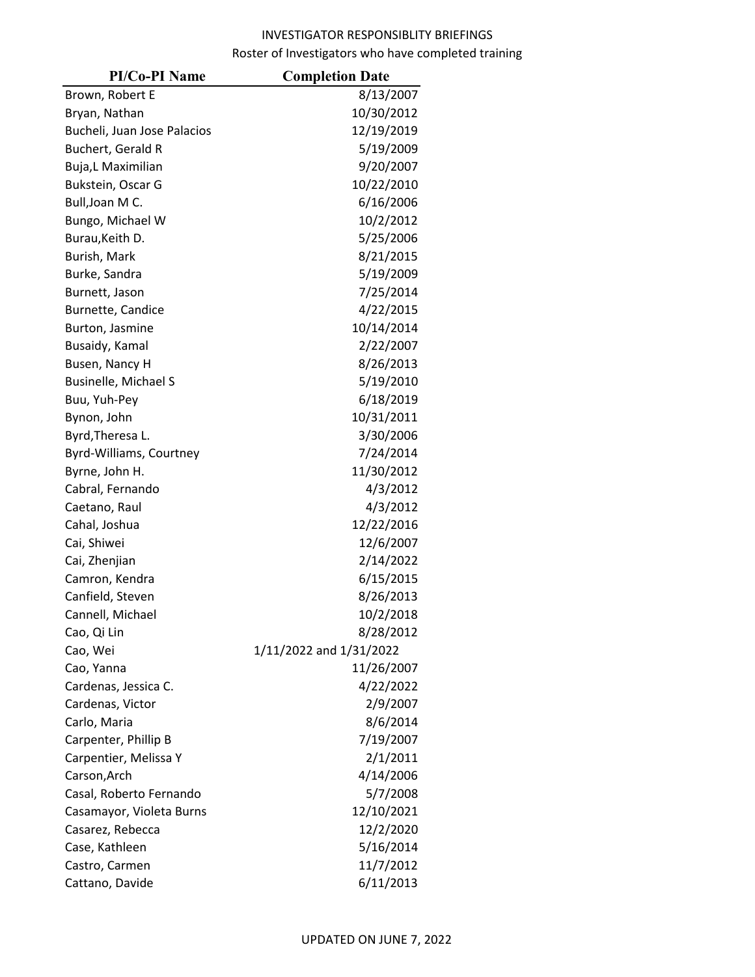| <b>PI/Co-PI Name</b>        | <b>Completion Date</b>  |
|-----------------------------|-------------------------|
| Brown, Robert E             | 8/13/2007               |
| Bryan, Nathan               | 10/30/2012              |
| Bucheli, Juan Jose Palacios | 12/19/2019              |
| Buchert, Gerald R           | 5/19/2009               |
| Buja,L Maximilian           | 9/20/2007               |
| Bukstein, Oscar G           | 10/22/2010              |
| Bull, Joan M C.             | 6/16/2006               |
| Bungo, Michael W            | 10/2/2012               |
| Burau, Keith D.             | 5/25/2006               |
| Burish, Mark                | 8/21/2015               |
| Burke, Sandra               | 5/19/2009               |
| Burnett, Jason              | 7/25/2014               |
| Burnette, Candice           | 4/22/2015               |
| Burton, Jasmine             | 10/14/2014              |
| Busaidy, Kamal              | 2/22/2007               |
| Busen, Nancy H              | 8/26/2013               |
| <b>Businelle, Michael S</b> | 5/19/2010               |
| Buu, Yuh-Pey                | 6/18/2019               |
| Bynon, John                 | 10/31/2011              |
| Byrd, Theresa L.            | 3/30/2006               |
| Byrd-Williams, Courtney     | 7/24/2014               |
| Byrne, John H.              | 11/30/2012              |
| Cabral, Fernando            | 4/3/2012                |
| Caetano, Raul               | 4/3/2012                |
| Cahal, Joshua               | 12/22/2016              |
| Cai, Shiwei                 | 12/6/2007               |
| Cai, Zhenjian               | 2/14/2022               |
| Camron, Kendra              | 6/15/2015               |
| Canfield, Steven            | 8/26/2013               |
| Cannell, Michael            | 10/2/2018               |
| Cao, Qi Lin                 | 8/28/2012               |
| Cao, Wei                    | 1/11/2022 and 1/31/2022 |
| Cao, Yanna                  | 11/26/2007              |
| Cardenas, Jessica C.        | 4/22/2022               |
| Cardenas, Victor            | 2/9/2007                |
| Carlo, Maria                | 8/6/2014                |
| Carpenter, Phillip B        | 7/19/2007               |
| Carpentier, Melissa Y       | 2/1/2011                |
| Carson, Arch                | 4/14/2006               |
| Casal, Roberto Fernando     | 5/7/2008                |
| Casamayor, Violeta Burns    | 12/10/2021              |
| Casarez, Rebecca            | 12/2/2020               |
| Case, Kathleen              | 5/16/2014               |
| Castro, Carmen              | 11/7/2012               |
| Cattano, Davide             | 6/11/2013               |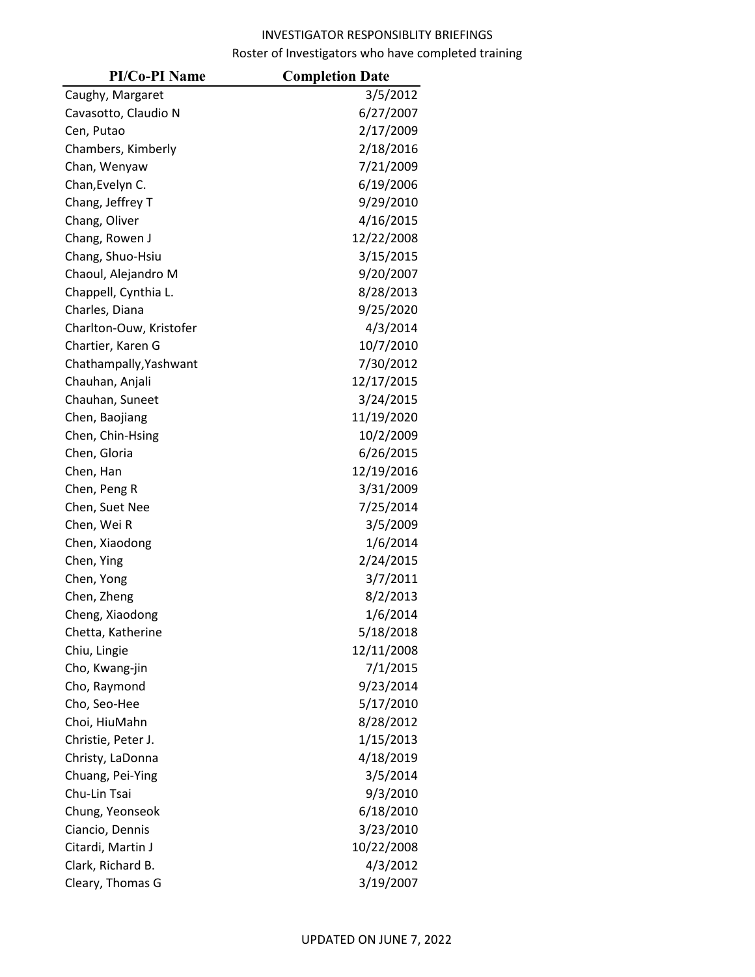| <b>PI/Co-PI Name</b>    | <b>Completion Date</b> |
|-------------------------|------------------------|
| Caughy, Margaret        | 3/5/2012               |
| Cavasotto, Claudio N    | 6/27/2007              |
| Cen, Putao              | 2/17/2009              |
| Chambers, Kimberly      | 2/18/2016              |
| Chan, Wenyaw            | 7/21/2009              |
| Chan, Evelyn C.         | 6/19/2006              |
| Chang, Jeffrey T        | 9/29/2010              |
| Chang, Oliver           | 4/16/2015              |
| Chang, Rowen J          | 12/22/2008             |
| Chang, Shuo-Hsiu        | 3/15/2015              |
| Chaoul, Alejandro M     | 9/20/2007              |
| Chappell, Cynthia L.    | 8/28/2013              |
| Charles, Diana          | 9/25/2020              |
| Charlton-Ouw, Kristofer | 4/3/2014               |
| Chartier, Karen G       | 10/7/2010              |
| Chathampally, Yashwant  | 7/30/2012              |
| Chauhan, Anjali         | 12/17/2015             |
| Chauhan, Suneet         | 3/24/2015              |
| Chen, Baojiang          | 11/19/2020             |
| Chen, Chin-Hsing        | 10/2/2009              |
| Chen, Gloria            | 6/26/2015              |
| Chen, Han               | 12/19/2016             |
| Chen, Peng R            | 3/31/2009              |
| Chen, Suet Nee          | 7/25/2014              |
| Chen, Wei R             | 3/5/2009               |
| Chen, Xiaodong          | 1/6/2014               |
| Chen, Ying              | 2/24/2015              |
| Chen, Yong              | 3/7/2011               |
| Chen, Zheng             | 8/2/2013               |
| Cheng, Xiaodong         | 1/6/2014               |
| Chetta, Katherine       | 5/18/2018              |
| Chiu, Lingie            | 12/11/2008             |
| Cho, Kwang-jin          | 7/1/2015               |
| Cho, Raymond            | 9/23/2014              |
| Cho, Seo-Hee            | 5/17/2010              |
| Choi, HiuMahn           | 8/28/2012              |
| Christie, Peter J.      | 1/15/2013              |
| Christy, LaDonna        | 4/18/2019              |
| Chuang, Pei-Ying        | 3/5/2014               |
| Chu-Lin Tsai            | 9/3/2010               |
| Chung, Yeonseok         | 6/18/2010              |
| Ciancio, Dennis         | 3/23/2010              |
| Citardi, Martin J       | 10/22/2008             |
| Clark, Richard B.       | 4/3/2012               |
| Cleary, Thomas G        | 3/19/2007              |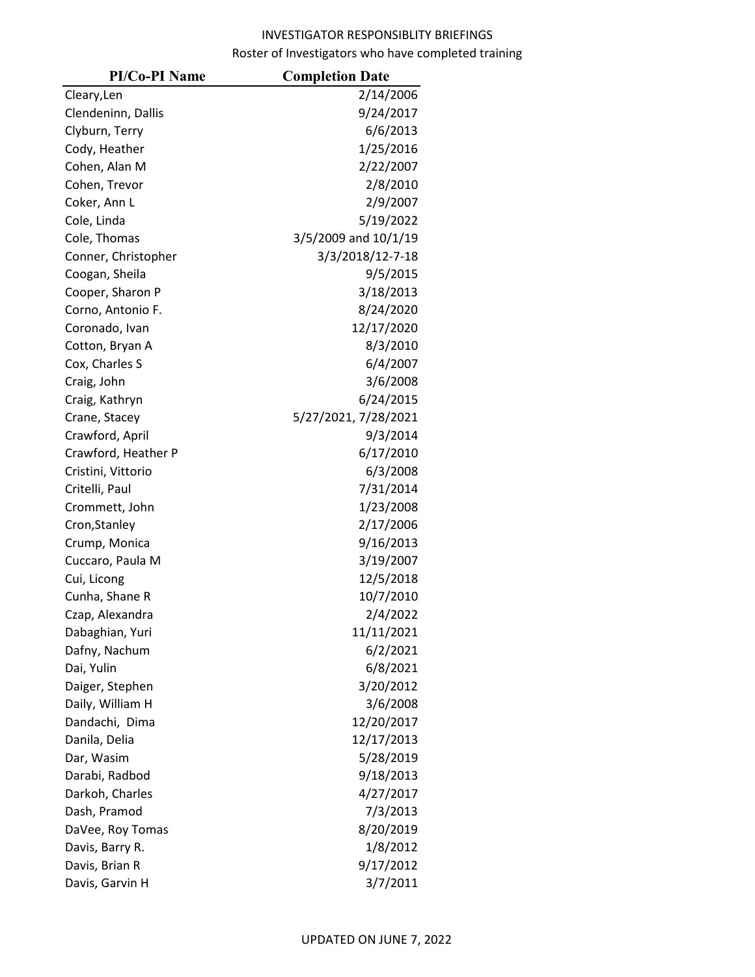| <b>PI/Co-PI Name</b> | <b>Completion Date</b> |
|----------------------|------------------------|
| Cleary, Len          | 2/14/2006              |
| Clendeninn, Dallis   | 9/24/2017              |
| Clyburn, Terry       | 6/6/2013               |
| Cody, Heather        | 1/25/2016              |
| Cohen, Alan M        | 2/22/2007              |
| Cohen, Trevor        | 2/8/2010               |
| Coker, Ann L         | 2/9/2007               |
| Cole, Linda          | 5/19/2022              |
| Cole, Thomas         | 3/5/2009 and 10/1/19   |
| Conner, Christopher  | 3/3/2018/12-7-18       |
| Coogan, Sheila       | 9/5/2015               |
| Cooper, Sharon P     | 3/18/2013              |
| Corno, Antonio F.    | 8/24/2020              |
| Coronado, Ivan       | 12/17/2020             |
| Cotton, Bryan A      | 8/3/2010               |
| Cox, Charles S       | 6/4/2007               |
| Craig, John          | 3/6/2008               |
| Craig, Kathryn       | 6/24/2015              |
| Crane, Stacey        | 5/27/2021, 7/28/2021   |
| Crawford, April      | 9/3/2014               |
| Crawford, Heather P  | 6/17/2010              |
| Cristini, Vittorio   | 6/3/2008               |
| Critelli, Paul       | 7/31/2014              |
| Crommett, John       | 1/23/2008              |
| Cron, Stanley        | 2/17/2006              |
| Crump, Monica        | 9/16/2013              |
| Cuccaro, Paula M     | 3/19/2007              |
| Cui, Licong          | 12/5/2018              |
| Cunha, Shane R       | 10/7/2010              |
| Czap, Alexandra      | 2/4/2022               |
| Dabaghian, Yuri      | 11/11/2021             |
| Dafny, Nachum        | 6/2/2021               |
| Dai, Yulin           | 6/8/2021               |
| Daiger, Stephen      | 3/20/2012              |
| Daily, William H     | 3/6/2008               |
| Dandachi, Dima       | 12/20/2017             |
| Danila, Delia        | 12/17/2013             |
| Dar, Wasim           | 5/28/2019              |
| Darabi, Radbod       | 9/18/2013              |
| Darkoh, Charles      | 4/27/2017              |
| Dash, Pramod         | 7/3/2013               |
| DaVee, Roy Tomas     | 8/20/2019              |
| Davis, Barry R.      | 1/8/2012               |
| Davis, Brian R       | 9/17/2012              |
| Davis, Garvin H      | 3/7/2011               |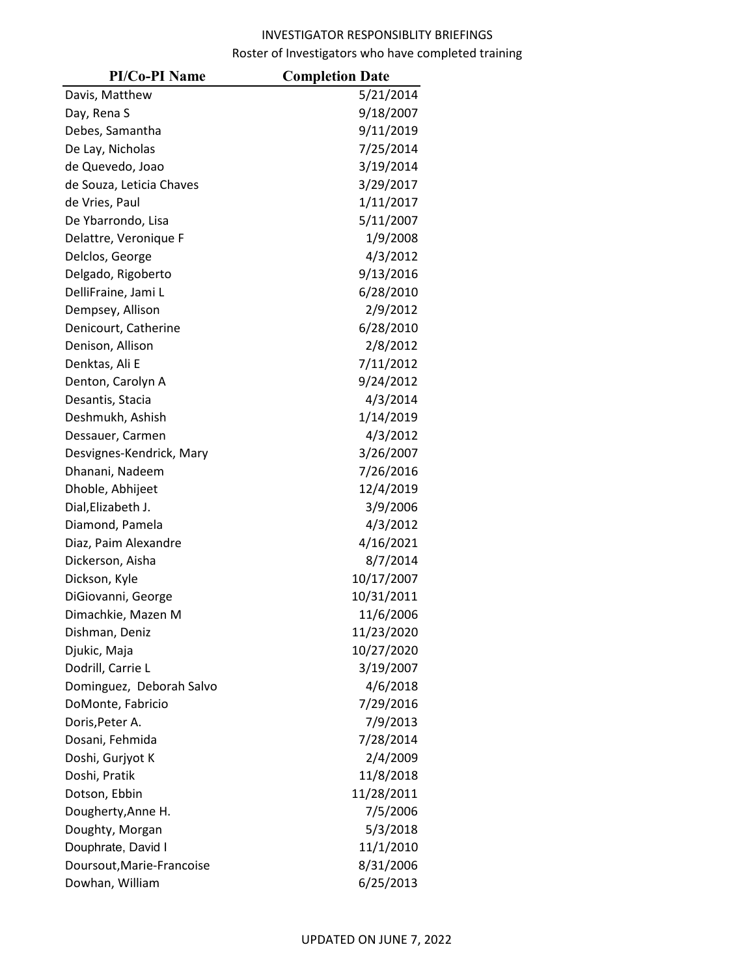| <b>PI/Co-PI Name</b>      | <b>Completion Date</b> |
|---------------------------|------------------------|
| Davis, Matthew            | 5/21/2014              |
| Day, Rena S               | 9/18/2007              |
| Debes, Samantha           | 9/11/2019              |
| De Lay, Nicholas          | 7/25/2014              |
| de Quevedo, Joao          | 3/19/2014              |
| de Souza, Leticia Chaves  | 3/29/2017              |
| de Vries, Paul            | 1/11/2017              |
| De Ybarrondo, Lisa        | 5/11/2007              |
| Delattre, Veronique F     | 1/9/2008               |
| Delclos, George           | 4/3/2012               |
| Delgado, Rigoberto        | 9/13/2016              |
| DelliFraine, Jami L       | 6/28/2010              |
| Dempsey, Allison          | 2/9/2012               |
| Denicourt, Catherine      | 6/28/2010              |
| Denison, Allison          | 2/8/2012               |
| Denktas, Ali E            | 7/11/2012              |
| Denton, Carolyn A         | 9/24/2012              |
| Desantis, Stacia          | 4/3/2014               |
| Deshmukh, Ashish          | 1/14/2019              |
| Dessauer, Carmen          | 4/3/2012               |
| Desvignes-Kendrick, Mary  | 3/26/2007              |
| Dhanani, Nadeem           | 7/26/2016              |
| Dhoble, Abhijeet          | 12/4/2019              |
| Dial, Elizabeth J.        | 3/9/2006               |
| Diamond, Pamela           | 4/3/2012               |
| Diaz, Paim Alexandre      | 4/16/2021              |
| Dickerson, Aisha          | 8/7/2014               |
| Dickson, Kyle             | 10/17/2007             |
| DiGiovanni, George        | 10/31/2011             |
| Dimachkie, Mazen M        | 11/6/2006              |
| Dishman, Deniz            | 11/23/2020             |
| Djukic, Maja              | 10/27/2020             |
| Dodrill, Carrie L         | 3/19/2007              |
| Dominguez, Deborah Salvo  | 4/6/2018               |
| DoMonte, Fabricio         | 7/29/2016              |
| Doris, Peter A.           | 7/9/2013               |
| Dosani, Fehmida           | 7/28/2014              |
| Doshi, Gurjyot K          | 2/4/2009               |
| Doshi, Pratik             | 11/8/2018              |
| Dotson, Ebbin             | 11/28/2011             |
| Dougherty, Anne H.        | 7/5/2006               |
| Doughty, Morgan           | 5/3/2018               |
| Douphrate, David I        | 11/1/2010              |
| Doursout, Marie-Francoise | 8/31/2006              |
| Dowhan, William           | 6/25/2013              |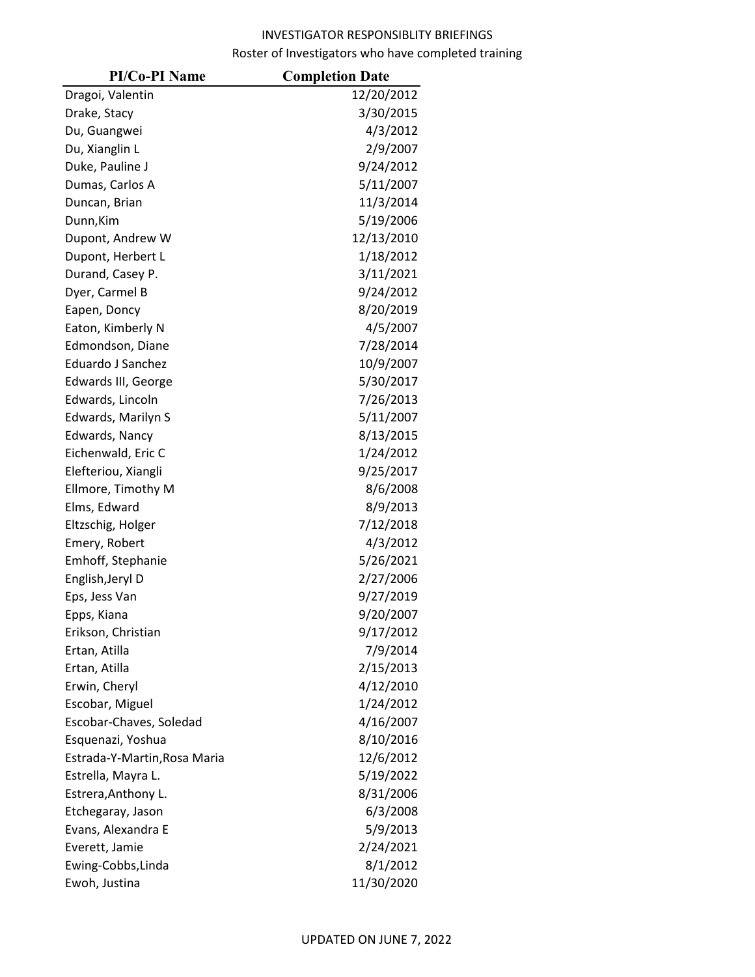| <b>PI/Co-PI Name</b>         | <b>Completion Date</b> |
|------------------------------|------------------------|
| Dragoi, Valentin             | 12/20/2012             |
| Drake, Stacy                 | 3/30/2015              |
| Du, Guangwei                 | 4/3/2012               |
| Du, Xianglin L               | 2/9/2007               |
| Duke, Pauline J              | 9/24/2012              |
| Dumas, Carlos A              | 5/11/2007              |
| Duncan, Brian                | 11/3/2014              |
| Dunn, Kim                    | 5/19/2006              |
| Dupont, Andrew W             | 12/13/2010             |
| Dupont, Herbert L            | 1/18/2012              |
| Durand, Casey P.             | 3/11/2021              |
| Dyer, Carmel B               | 9/24/2012              |
| Eapen, Doncy                 | 8/20/2019              |
| Eaton, Kimberly N            | 4/5/2007               |
| Edmondson, Diane             | 7/28/2014              |
| Eduardo J Sanchez            | 10/9/2007              |
| Edwards III, George          | 5/30/2017              |
| Edwards, Lincoln             | 7/26/2013              |
| Edwards, Marilyn S           | 5/11/2007              |
| Edwards, Nancy               | 8/13/2015              |
| Eichenwald, Eric C           | 1/24/2012              |
| Elefteriou, Xiangli          | 9/25/2017              |
| Ellmore, Timothy M           | 8/6/2008               |
| Elms, Edward                 | 8/9/2013               |
| Eltzschig, Holger            | 7/12/2018              |
| Emery, Robert                | 4/3/2012               |
| Emhoff, Stephanie            | 5/26/2021              |
| English, Jeryl D             | 2/27/2006              |
| Eps, Jess Van                | 9/27/2019              |
| Epps, Kiana                  | 9/20/2007              |
| Erikson, Christian           | 9/17/2012              |
| Ertan, Atilla                | 7/9/2014               |
| Ertan, Atilla                | 2/15/2013              |
| Erwin, Cheryl                | 4/12/2010              |
| Escobar, Miguel              | 1/24/2012              |
| Escobar-Chaves, Soledad      | 4/16/2007              |
| Esquenazi, Yoshua            | 8/10/2016              |
| Estrada-Y-Martin, Rosa Maria | 12/6/2012              |
| Estrella, Mayra L.           | 5/19/2022              |
| Estrera, Anthony L.          | 8/31/2006              |
| Etchegaray, Jason            | 6/3/2008               |
| Evans, Alexandra E           | 5/9/2013               |
| Everett, Jamie               | 2/24/2021              |
| Ewing-Cobbs, Linda           | 8/1/2012               |
| Ewoh, Justina                | 11/30/2020             |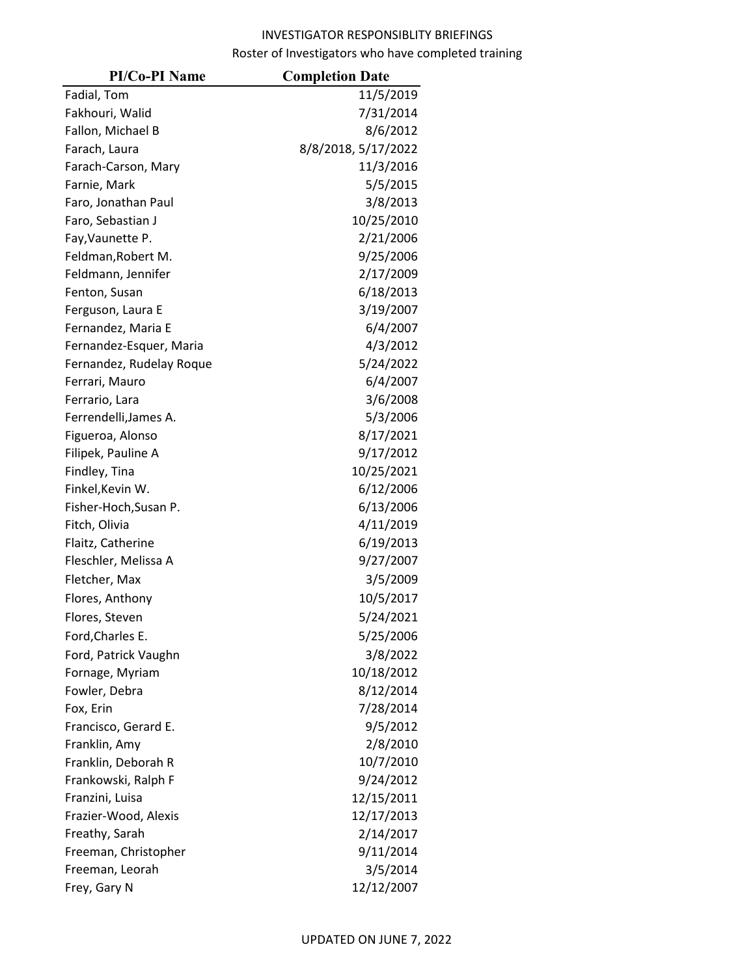| <b>PI/Co-PI Name</b>     | <b>Completion Date</b> |
|--------------------------|------------------------|
| Fadial, Tom              | 11/5/2019              |
| Fakhouri, Walid          | 7/31/2014              |
| Fallon, Michael B        | 8/6/2012               |
| Farach, Laura            | 8/8/2018, 5/17/2022    |
| Farach-Carson, Mary      | 11/3/2016              |
| Farnie, Mark             | 5/5/2015               |
| Faro, Jonathan Paul      | 3/8/2013               |
| Faro, Sebastian J        | 10/25/2010             |
| Fay, Vaunette P.         | 2/21/2006              |
| Feldman, Robert M.       | 9/25/2006              |
| Feldmann, Jennifer       | 2/17/2009              |
| Fenton, Susan            | 6/18/2013              |
| Ferguson, Laura E        | 3/19/2007              |
| Fernandez, Maria E       | 6/4/2007               |
| Fernandez-Esquer, Maria  | 4/3/2012               |
| Fernandez, Rudelay Roque | 5/24/2022              |
| Ferrari, Mauro           | 6/4/2007               |
| Ferrario, Lara           | 3/6/2008               |
| Ferrendelli, James A.    | 5/3/2006               |
| Figueroa, Alonso         | 8/17/2021              |
| Filipek, Pauline A       | 9/17/2012              |
| Findley, Tina            | 10/25/2021             |
| Finkel, Kevin W.         | 6/12/2006              |
| Fisher-Hoch, Susan P.    | 6/13/2006              |
| Fitch, Olivia            | 4/11/2019              |
| Flaitz, Catherine        | 6/19/2013              |
| Fleschler, Melissa A     | 9/27/2007              |
| Fletcher, Max            | 3/5/2009               |
| Flores, Anthony          | 10/5/2017              |
| Flores, Steven           | 5/24/2021              |
| Ford, Charles E.         | 5/25/2006              |
| Ford, Patrick Vaughn     | 3/8/2022               |
| Fornage, Myriam          | 10/18/2012             |
| Fowler, Debra            | 8/12/2014              |
| Fox, Erin                | 7/28/2014              |
| Francisco, Gerard E.     | 9/5/2012               |
| Franklin, Amy            | 2/8/2010               |
| Franklin, Deborah R      | 10/7/2010              |
| Frankowski, Ralph F      | 9/24/2012              |
| Franzini, Luisa          | 12/15/2011             |
| Frazier-Wood, Alexis     | 12/17/2013             |
| Freathy, Sarah           | 2/14/2017              |
| Freeman, Christopher     | 9/11/2014              |
| Freeman, Leorah          | 3/5/2014               |
| Frey, Gary N             | 12/12/2007             |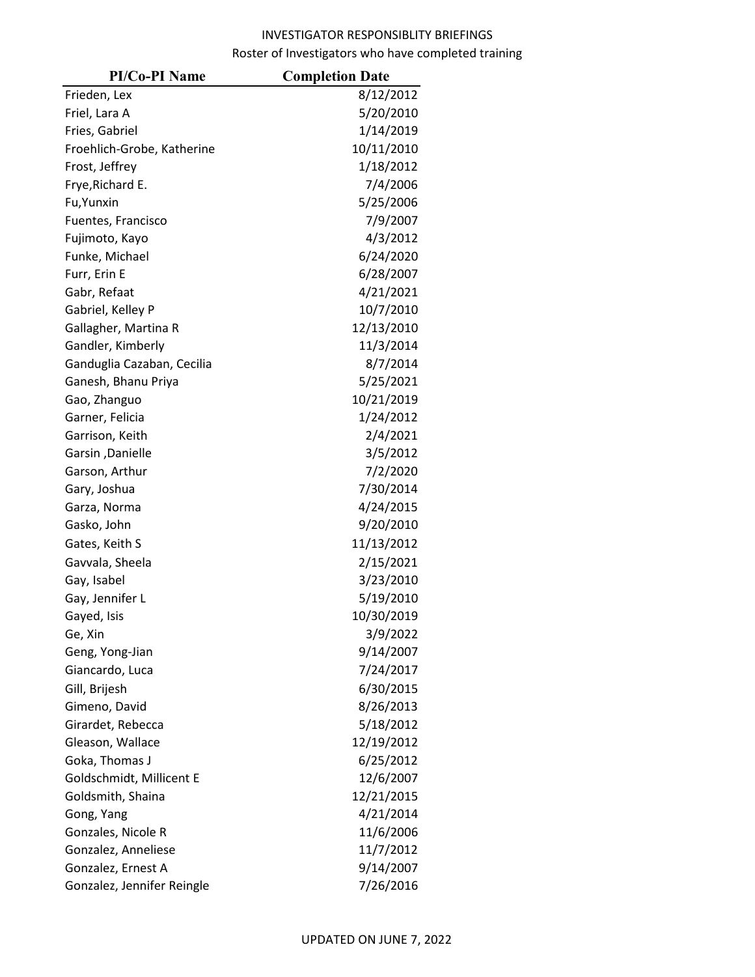| <b>PI/Co-PI Name</b>       | <b>Completion Date</b> |
|----------------------------|------------------------|
| Frieden, Lex               | 8/12/2012              |
| Friel, Lara A              | 5/20/2010              |
| Fries, Gabriel             | 1/14/2019              |
| Froehlich-Grobe, Katherine | 10/11/2010             |
| Frost, Jeffrey             | 1/18/2012              |
| Frye, Richard E.           | 7/4/2006               |
| Fu, Yunxin                 | 5/25/2006              |
| Fuentes, Francisco         | 7/9/2007               |
| Fujimoto, Kayo             | 4/3/2012               |
| Funke, Michael             | 6/24/2020              |
| Furr, Erin E               | 6/28/2007              |
| Gabr, Refaat               | 4/21/2021              |
| Gabriel, Kelley P          | 10/7/2010              |
| Gallagher, Martina R       | 12/13/2010             |
| Gandler, Kimberly          | 11/3/2014              |
| Ganduglia Cazaban, Cecilia | 8/7/2014               |
| Ganesh, Bhanu Priya        | 5/25/2021              |
| Gao, Zhanguo               | 10/21/2019             |
| Garner, Felicia            | 1/24/2012              |
| Garrison, Keith            | 2/4/2021               |
| Garsin, Danielle           | 3/5/2012               |
| Garson, Arthur             | 7/2/2020               |
| Gary, Joshua               | 7/30/2014              |
| Garza, Norma               | 4/24/2015              |
| Gasko, John                | 9/20/2010              |
| Gates, Keith S             | 11/13/2012             |
| Gavvala, Sheela            | 2/15/2021              |
| Gay, Isabel                | 3/23/2010              |
| Gay, Jennifer L            | 5/19/2010              |
| Gayed, Isis                | 10/30/2019             |
| Ge, Xin                    | 3/9/2022               |
| Geng, Yong-Jian            | 9/14/2007              |
| Giancardo, Luca            | 7/24/2017              |
| Gill, Brijesh              | 6/30/2015              |
| Gimeno, David              | 8/26/2013              |
| Girardet, Rebecca          | 5/18/2012              |
| Gleason, Wallace           | 12/19/2012             |
| Goka, Thomas J             | 6/25/2012              |
| Goldschmidt, Millicent E   | 12/6/2007              |
| Goldsmith, Shaina          | 12/21/2015             |
| Gong, Yang                 | 4/21/2014              |
| Gonzales, Nicole R         | 11/6/2006              |
| Gonzalez, Anneliese        | 11/7/2012              |
| Gonzalez, Ernest A         | 9/14/2007              |
| Gonzalez, Jennifer Reingle | 7/26/2016              |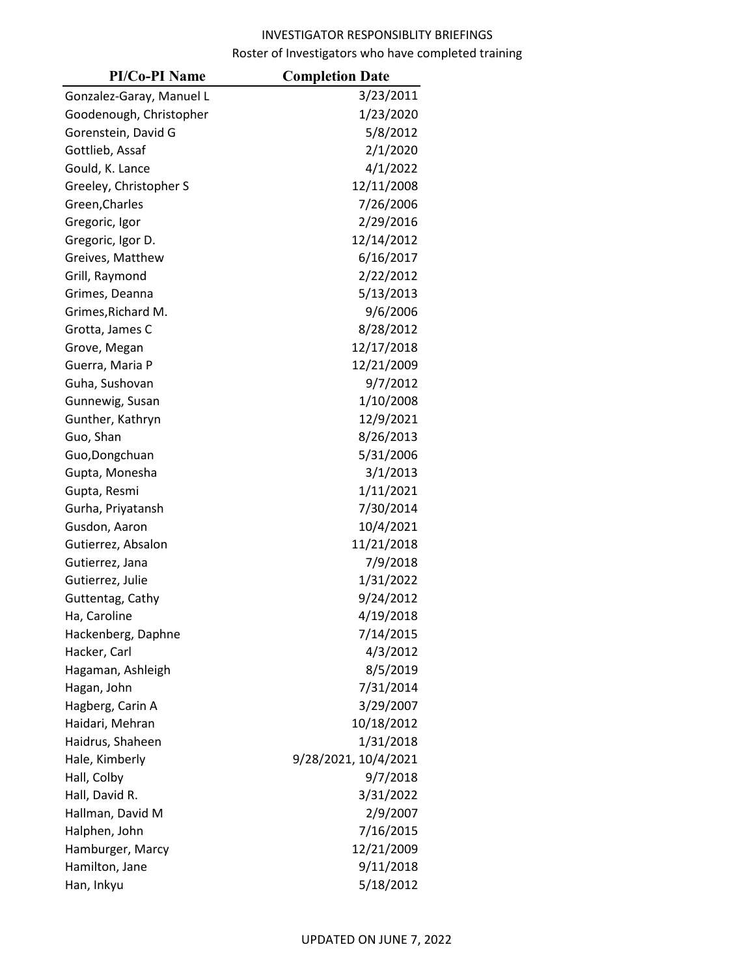| <b>PI/Co-PI Name</b>     | <b>Completion Date</b> |
|--------------------------|------------------------|
| Gonzalez-Garay, Manuel L | 3/23/2011              |
| Goodenough, Christopher  | 1/23/2020              |
| Gorenstein, David G      | 5/8/2012               |
| Gottlieb, Assaf          | 2/1/2020               |
| Gould, K. Lance          | 4/1/2022               |
| Greeley, Christopher S   | 12/11/2008             |
| Green, Charles           | 7/26/2006              |
| Gregoric, Igor           | 2/29/2016              |
| Gregoric, Igor D.        | 12/14/2012             |
| Greives, Matthew         | 6/16/2017              |
| Grill, Raymond           | 2/22/2012              |
| Grimes, Deanna           | 5/13/2013              |
| Grimes, Richard M.       | 9/6/2006               |
| Grotta, James C          | 8/28/2012              |
| Grove, Megan             | 12/17/2018             |
| Guerra, Maria P          | 12/21/2009             |
| Guha, Sushovan           | 9/7/2012               |
| Gunnewig, Susan          | 1/10/2008              |
| Gunther, Kathryn         | 12/9/2021              |
| Guo, Shan                | 8/26/2013              |
| Guo, Dongchuan           | 5/31/2006              |
| Gupta, Monesha           | 3/1/2013               |
| Gupta, Resmi             | 1/11/2021              |
| Gurha, Priyatansh        | 7/30/2014              |
| Gusdon, Aaron            | 10/4/2021              |
| Gutierrez, Absalon       | 11/21/2018             |
| Gutierrez, Jana          | 7/9/2018               |
| Gutierrez, Julie         | 1/31/2022              |
| Guttentag, Cathy         | 9/24/2012              |
| Ha, Caroline             | 4/19/2018              |
| Hackenberg, Daphne       | 7/14/2015              |
| Hacker, Carl             | 4/3/2012               |
| Hagaman, Ashleigh        | 8/5/2019               |
| Hagan, John              | 7/31/2014              |
| Hagberg, Carin A         | 3/29/2007              |
| Haidari, Mehran          | 10/18/2012             |
| Haidrus, Shaheen         | 1/31/2018              |
| Hale, Kimberly           | 9/28/2021, 10/4/2021   |
| Hall, Colby              | 9/7/2018               |
| Hall, David R.           | 3/31/2022              |
| Hallman, David M         | 2/9/2007               |
| Halphen, John            | 7/16/2015              |
| Hamburger, Marcy         | 12/21/2009             |
| Hamilton, Jane           | 9/11/2018              |
| Han, Inkyu               | 5/18/2012              |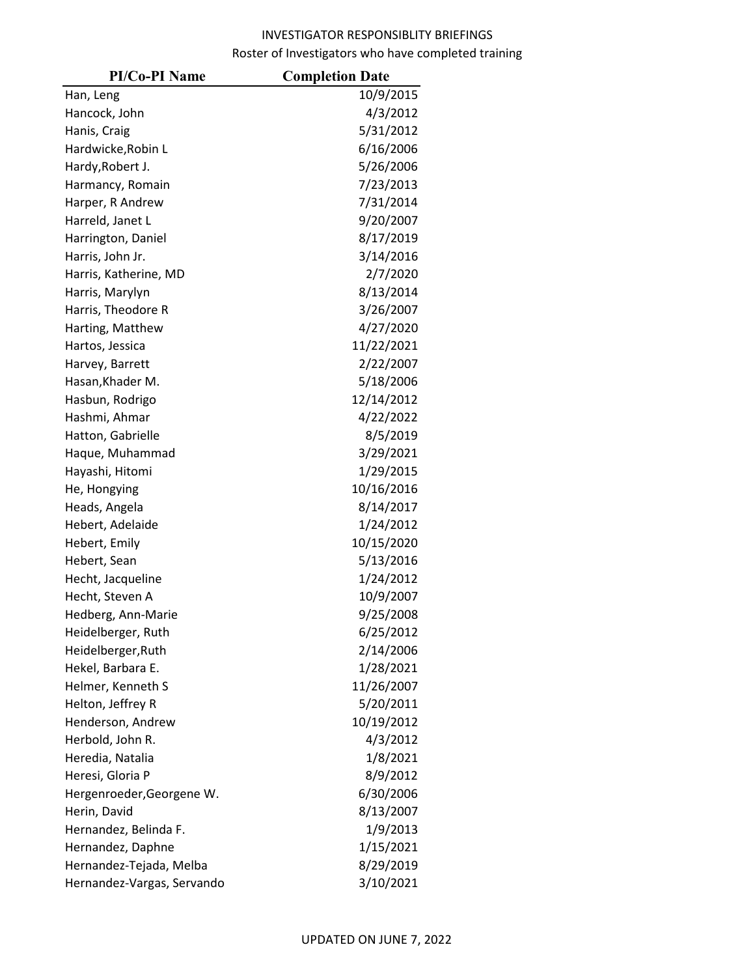| <b>PI/Co-PI Name</b>       | <b>Completion Date</b> |
|----------------------------|------------------------|
| Han, Leng                  | 10/9/2015              |
| Hancock, John              | 4/3/2012               |
| Hanis, Craig               | 5/31/2012              |
| Hardwicke, Robin L         | 6/16/2006              |
| Hardy, Robert J.           | 5/26/2006              |
| Harmancy, Romain           | 7/23/2013              |
| Harper, R Andrew           | 7/31/2014              |
| Harreld, Janet L           | 9/20/2007              |
| Harrington, Daniel         | 8/17/2019              |
| Harris, John Jr.           | 3/14/2016              |
| Harris, Katherine, MD      | 2/7/2020               |
| Harris, Marylyn            | 8/13/2014              |
| Harris, Theodore R         | 3/26/2007              |
| Harting, Matthew           | 4/27/2020              |
| Hartos, Jessica            | 11/22/2021             |
| Harvey, Barrett            | 2/22/2007              |
| Hasan, Khader M.           | 5/18/2006              |
| Hasbun, Rodrigo            | 12/14/2012             |
| Hashmi, Ahmar              | 4/22/2022              |
| Hatton, Gabrielle          | 8/5/2019               |
| Haque, Muhammad            | 3/29/2021              |
| Hayashi, Hitomi            | 1/29/2015              |
| He, Hongying               | 10/16/2016             |
| Heads, Angela              | 8/14/2017              |
| Hebert, Adelaide           | 1/24/2012              |
| Hebert, Emily              | 10/15/2020             |
| Hebert, Sean               | 5/13/2016              |
| Hecht, Jacqueline          | 1/24/2012              |
| Hecht, Steven A            | 10/9/2007              |
| Hedberg, Ann-Marie         | 9/25/2008              |
| Heidelberger, Ruth         | 6/25/2012              |
| Heidelberger, Ruth         | 2/14/2006              |
| Hekel, Barbara E.          | 1/28/2021              |
| Helmer, Kenneth S          | 11/26/2007             |
| Helton, Jeffrey R          | 5/20/2011              |
| Henderson, Andrew          | 10/19/2012             |
| Herbold, John R.           | 4/3/2012               |
| Heredia, Natalia           | 1/8/2021               |
| Heresi, Gloria P           | 8/9/2012               |
| Hergenroeder, Georgene W.  | 6/30/2006              |
| Herin, David               | 8/13/2007              |
| Hernandez, Belinda F.      | 1/9/2013               |
| Hernandez, Daphne          | 1/15/2021              |
| Hernandez-Tejada, Melba    | 8/29/2019              |
| Hernandez-Vargas, Servando | 3/10/2021              |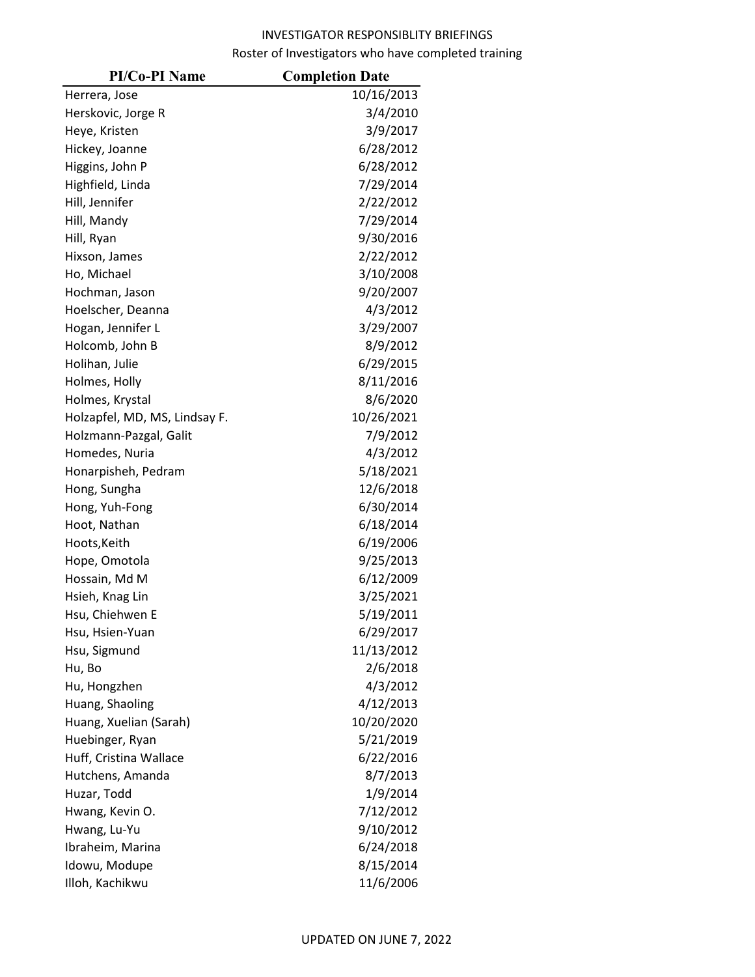| <b>PI/Co-PI Name</b>          | <b>Completion Date</b> |
|-------------------------------|------------------------|
| Herrera, Jose                 | 10/16/2013             |
| Herskovic, Jorge R            | 3/4/2010               |
| Heye, Kristen                 | 3/9/2017               |
| Hickey, Joanne                | 6/28/2012              |
| Higgins, John P               | 6/28/2012              |
| Highfield, Linda              | 7/29/2014              |
| Hill, Jennifer                | 2/22/2012              |
| Hill, Mandy                   | 7/29/2014              |
| Hill, Ryan                    | 9/30/2016              |
| Hixson, James                 | 2/22/2012              |
| Ho, Michael                   | 3/10/2008              |
| Hochman, Jason                | 9/20/2007              |
| Hoelscher, Deanna             | 4/3/2012               |
| Hogan, Jennifer L             | 3/29/2007              |
| Holcomb, John B               | 8/9/2012               |
| Holihan, Julie                | 6/29/2015              |
| Holmes, Holly                 | 8/11/2016              |
| Holmes, Krystal               | 8/6/2020               |
| Holzapfel, MD, MS, Lindsay F. | 10/26/2021             |
| Holzmann-Pazgal, Galit        | 7/9/2012               |
| Homedes, Nuria                | 4/3/2012               |
| Honarpisheh, Pedram           | 5/18/2021              |
| Hong, Sungha                  | 12/6/2018              |
| Hong, Yuh-Fong                | 6/30/2014              |
| Hoot, Nathan                  | 6/18/2014              |
| Hoots, Keith                  | 6/19/2006              |
| Hope, Omotola                 | 9/25/2013              |
| Hossain, Md M                 | 6/12/2009              |
| Hsieh, Knag Lin               | 3/25/2021              |
| Hsu, Chiehwen E               | 5/19/2011              |
| Hsu, Hsien-Yuan               | 6/29/2017              |
| Hsu, Sigmund                  | 11/13/2012             |
| Hu, Bo                        | 2/6/2018               |
| Hu, Hongzhen                  | 4/3/2012               |
| Huang, Shaoling               | 4/12/2013              |
| Huang, Xuelian (Sarah)        | 10/20/2020             |
| Huebinger, Ryan               | 5/21/2019              |
| Huff, Cristina Wallace        | 6/22/2016              |
| Hutchens, Amanda              | 8/7/2013               |
| Huzar, Todd                   | 1/9/2014               |
| Hwang, Kevin O.               | 7/12/2012              |
| Hwang, Lu-Yu                  | 9/10/2012              |
| Ibraheim, Marina              | 6/24/2018              |
| Idowu, Modupe                 | 8/15/2014              |
| Illoh, Kachikwu               | 11/6/2006              |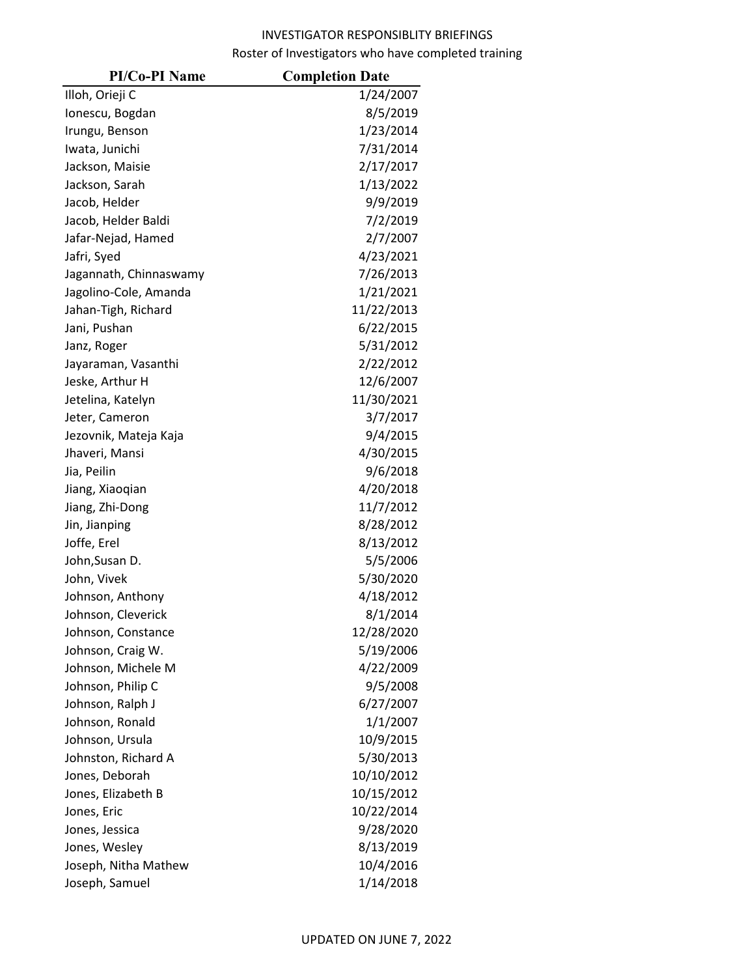| <b>PI/Co-PI Name</b>   | <b>Completion Date</b> |
|------------------------|------------------------|
| Illoh, Orieji C        | 1/24/2007              |
| Ionescu, Bogdan        | 8/5/2019               |
| Irungu, Benson         | 1/23/2014              |
| Iwata, Junichi         | 7/31/2014              |
| Jackson, Maisie        | 2/17/2017              |
| Jackson, Sarah         | 1/13/2022              |
| Jacob, Helder          | 9/9/2019               |
| Jacob, Helder Baldi    | 7/2/2019               |
| Jafar-Nejad, Hamed     | 2/7/2007               |
| Jafri, Syed            | 4/23/2021              |
| Jagannath, Chinnaswamy | 7/26/2013              |
| Jagolino-Cole, Amanda  | 1/21/2021              |
| Jahan-Tigh, Richard    | 11/22/2013             |
| Jani, Pushan           | 6/22/2015              |
| Janz, Roger            | 5/31/2012              |
| Jayaraman, Vasanthi    | 2/22/2012              |
| Jeske, Arthur H        | 12/6/2007              |
| Jetelina, Katelyn      | 11/30/2021             |
| Jeter, Cameron         | 3/7/2017               |
| Jezovnik, Mateja Kaja  | 9/4/2015               |
| Jhaveri, Mansi         | 4/30/2015              |
| Jia, Peilin            | 9/6/2018               |
| Jiang, Xiaoqian        | 4/20/2018              |
| Jiang, Zhi-Dong        | 11/7/2012              |
| Jin, Jianping          | 8/28/2012              |
| Joffe, Erel            | 8/13/2012              |
| John, Susan D.         | 5/5/2006               |
| John, Vivek            | 5/30/2020              |
| Johnson, Anthony       | 4/18/2012              |
| Johnson, Cleverick     | 8/1/2014               |
| Johnson, Constance     | 12/28/2020             |
| Johnson, Craig W.      | 5/19/2006              |
| Johnson, Michele M     | 4/22/2009              |
| Johnson, Philip C      | 9/5/2008               |
| Johnson, Ralph J       | 6/27/2007              |
| Johnson, Ronald        | 1/1/2007               |
| Johnson, Ursula        | 10/9/2015              |
| Johnston, Richard A    | 5/30/2013              |
| Jones, Deborah         | 10/10/2012             |
| Jones, Elizabeth B     | 10/15/2012             |
| Jones, Eric            | 10/22/2014             |
| Jones, Jessica         | 9/28/2020              |
| Jones, Wesley          | 8/13/2019              |
| Joseph, Nitha Mathew   | 10/4/2016              |
| Joseph, Samuel         | 1/14/2018              |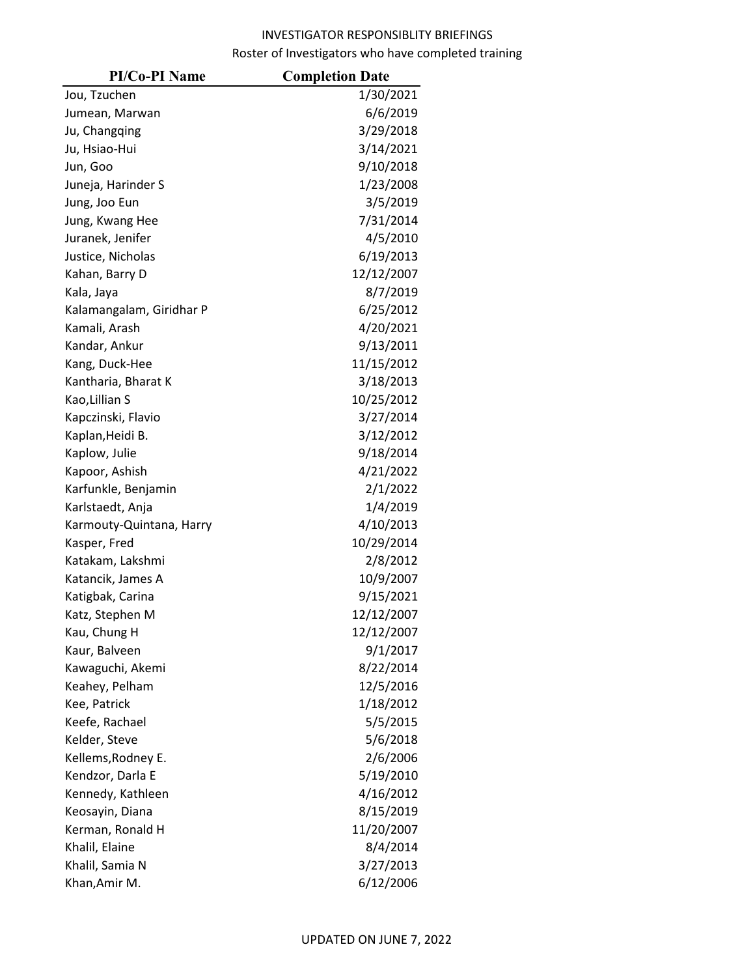| <b>PI/Co-PI Name</b>     | <b>Completion Date</b> |
|--------------------------|------------------------|
| Jou, Tzuchen             | 1/30/2021              |
| Jumean, Marwan           | 6/6/2019               |
| Ju, Changqing            | 3/29/2018              |
| Ju, Hsiao-Hui            | 3/14/2021              |
| Jun, Goo                 | 9/10/2018              |
| Juneja, Harinder S       | 1/23/2008              |
| Jung, Joo Eun            | 3/5/2019               |
| Jung, Kwang Hee          | 7/31/2014              |
| Juranek, Jenifer         | 4/5/2010               |
| Justice, Nicholas        | 6/19/2013              |
| Kahan, Barry D           | 12/12/2007             |
| Kala, Jaya               | 8/7/2019               |
| Kalamangalam, Giridhar P | 6/25/2012              |
| Kamali, Arash            | 4/20/2021              |
| Kandar, Ankur            | 9/13/2011              |
| Kang, Duck-Hee           | 11/15/2012             |
| Kantharia, Bharat K      | 3/18/2013              |
| Kao, Lillian S           | 10/25/2012             |
| Kapczinski, Flavio       | 3/27/2014              |
| Kaplan, Heidi B.         | 3/12/2012              |
| Kaplow, Julie            | 9/18/2014              |
| Kapoor, Ashish           | 4/21/2022              |
| Karfunkle, Benjamin      | 2/1/2022               |
| Karlstaedt, Anja         | 1/4/2019               |
| Karmouty-Quintana, Harry | 4/10/2013              |
| Kasper, Fred             | 10/29/2014             |
| Katakam, Lakshmi         | 2/8/2012               |
| Katancik, James A        | 10/9/2007              |
| Katigbak, Carina         | 9/15/2021              |
| Katz, Stephen M          | 12/12/2007             |
| Kau, Chung H             | 12/12/2007             |
| Kaur, Balveen            | 9/1/2017               |
| Kawaguchi, Akemi         | 8/22/2014              |
| Keahey, Pelham           | 12/5/2016              |
| Kee, Patrick             | 1/18/2012              |
| Keefe, Rachael           | 5/5/2015               |
| Kelder, Steve            | 5/6/2018               |
| Kellems, Rodney E.       | 2/6/2006               |
| Kendzor, Darla E         | 5/19/2010              |
| Kennedy, Kathleen        | 4/16/2012              |
| Keosayin, Diana          | 8/15/2019              |
| Kerman, Ronald H         | 11/20/2007             |
| Khalil, Elaine           | 8/4/2014               |
| Khalil, Samia N          | 3/27/2013              |
| Khan, Amir M.            | 6/12/2006              |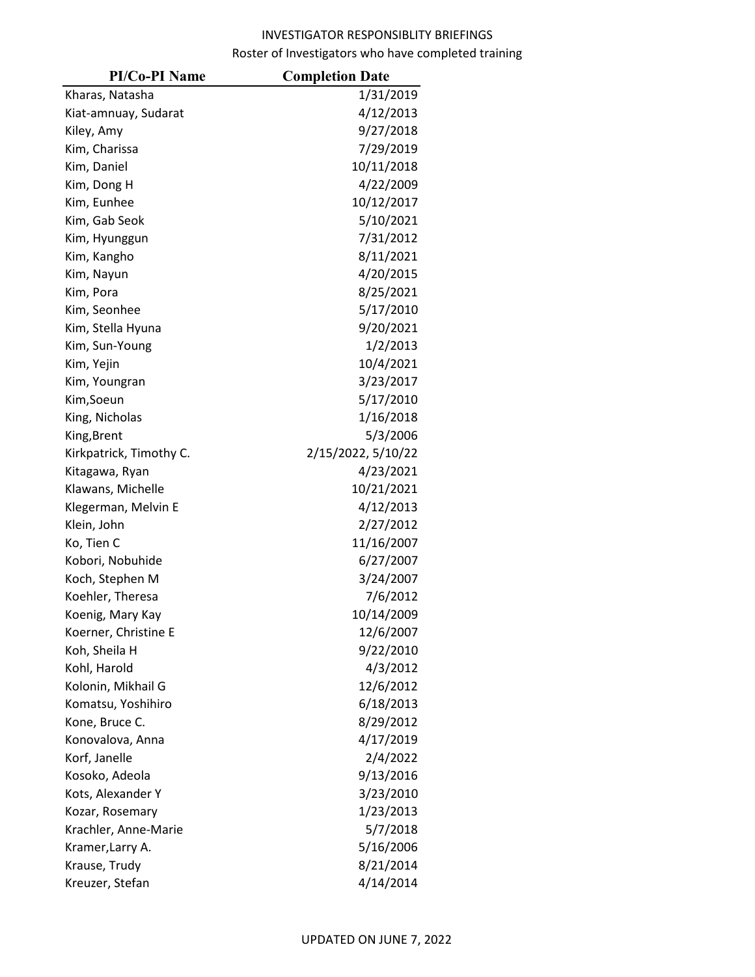| <b>PI/Co-PI Name</b>    | <b>Completion Date</b> |
|-------------------------|------------------------|
| Kharas, Natasha         | 1/31/2019              |
| Kiat-amnuay, Sudarat    | 4/12/2013              |
| Kiley, Amy              | 9/27/2018              |
| Kim, Charissa           | 7/29/2019              |
| Kim, Daniel             | 10/11/2018             |
| Kim, Dong H             | 4/22/2009              |
| Kim, Eunhee             | 10/12/2017             |
| Kim, Gab Seok           | 5/10/2021              |
| Kim, Hyunggun           | 7/31/2012              |
| Kim, Kangho             | 8/11/2021              |
| Kim, Nayun              | 4/20/2015              |
| Kim, Pora               | 8/25/2021              |
| Kim, Seonhee            | 5/17/2010              |
| Kim, Stella Hyuna       | 9/20/2021              |
| Kim, Sun-Young          | 1/2/2013               |
| Kim, Yejin              | 10/4/2021              |
| Kim, Youngran           | 3/23/2017              |
| Kim, Soeun              | 5/17/2010              |
| King, Nicholas          | 1/16/2018              |
| King, Brent             | 5/3/2006               |
| Kirkpatrick, Timothy C. | 2/15/2022, 5/10/22     |
| Kitagawa, Ryan          | 4/23/2021              |
| Klawans, Michelle       | 10/21/2021             |
| Klegerman, Melvin E     | 4/12/2013              |
| Klein, John             | 2/27/2012              |
| Ko, Tien C              | 11/16/2007             |
| Kobori, Nobuhide        | 6/27/2007              |
| Koch, Stephen M         | 3/24/2007              |
| Koehler, Theresa        | 7/6/2012               |
| Koenig, Mary Kay        | 10/14/2009             |
| Koerner, Christine E    | 12/6/2007              |
| Koh, Sheila H           | 9/22/2010              |
| Kohl, Harold            | 4/3/2012               |
| Kolonin, Mikhail G      | 12/6/2012              |
| Komatsu, Yoshihiro      | 6/18/2013              |
| Kone, Bruce C.          | 8/29/2012              |
| Konovalova, Anna        | 4/17/2019              |
| Korf, Janelle           | 2/4/2022               |
| Kosoko, Adeola          | 9/13/2016              |
| Kots, Alexander Y       | 3/23/2010              |
| Kozar, Rosemary         | 1/23/2013              |
| Krachler, Anne-Marie    | 5/7/2018               |
| Kramer, Larry A.        | 5/16/2006              |
| Krause, Trudy           | 8/21/2014              |
| Kreuzer, Stefan         | 4/14/2014              |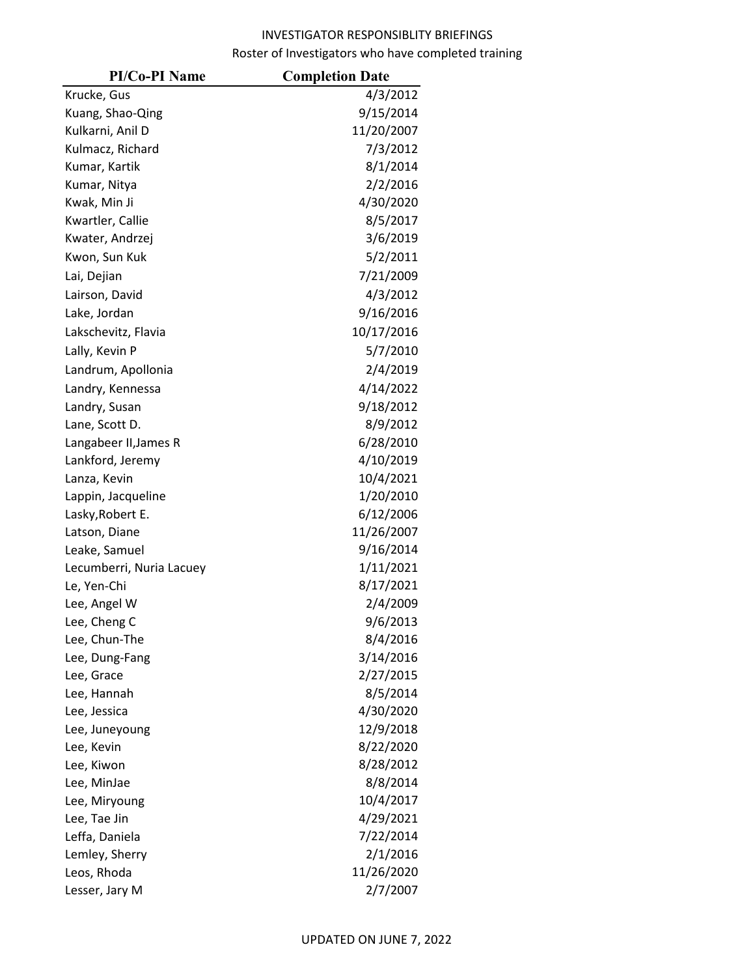| <b>PI/Co-PI Name</b>     | <b>Completion Date</b> |
|--------------------------|------------------------|
| Krucke, Gus              | 4/3/2012               |
| Kuang, Shao-Qing         | 9/15/2014              |
| Kulkarni, Anil D         | 11/20/2007             |
| Kulmacz, Richard         | 7/3/2012               |
| Kumar, Kartik            | 8/1/2014               |
| Kumar, Nitya             | 2/2/2016               |
| Kwak, Min Ji             | 4/30/2020              |
| Kwartler, Callie         | 8/5/2017               |
| Kwater, Andrzej          | 3/6/2019               |
| Kwon, Sun Kuk            | 5/2/2011               |
| Lai, Dejian              | 7/21/2009              |
| Lairson, David           | 4/3/2012               |
| Lake, Jordan             | 9/16/2016              |
| Lakschevitz, Flavia      | 10/17/2016             |
| Lally, Kevin P           | 5/7/2010               |
| Landrum, Apollonia       | 2/4/2019               |
| Landry, Kennessa         | 4/14/2022              |
| Landry, Susan            | 9/18/2012              |
| Lane, Scott D.           | 8/9/2012               |
| Langabeer II, James R    | 6/28/2010              |
| Lankford, Jeremy         | 4/10/2019              |
| Lanza, Kevin             | 10/4/2021              |
| Lappin, Jacqueline       | 1/20/2010              |
| Lasky, Robert E.         | 6/12/2006              |
| Latson, Diane            | 11/26/2007             |
| Leake, Samuel            | 9/16/2014              |
| Lecumberri, Nuria Lacuey | 1/11/2021              |
| Le, Yen-Chi              | 8/17/2021              |
| Lee, Angel W             | 2/4/2009               |
| Lee, Cheng C             | 9/6/2013               |
| Lee, Chun-The            | 8/4/2016               |
| Lee, Dung-Fang           | 3/14/2016              |
| Lee, Grace               | 2/27/2015              |
| Lee, Hannah              | 8/5/2014               |
| Lee, Jessica             | 4/30/2020              |
| Lee, Juneyoung           | 12/9/2018              |
| Lee, Kevin               | 8/22/2020              |
| Lee, Kiwon               | 8/28/2012              |
| Lee, MinJae              | 8/8/2014               |
| Lee, Miryoung            | 10/4/2017              |
| Lee, Tae Jin             | 4/29/2021              |
| Leffa, Daniela           | 7/22/2014              |
| Lemley, Sherry           | 2/1/2016               |
| Leos, Rhoda              | 11/26/2020             |
| Lesser, Jary M           | 2/7/2007               |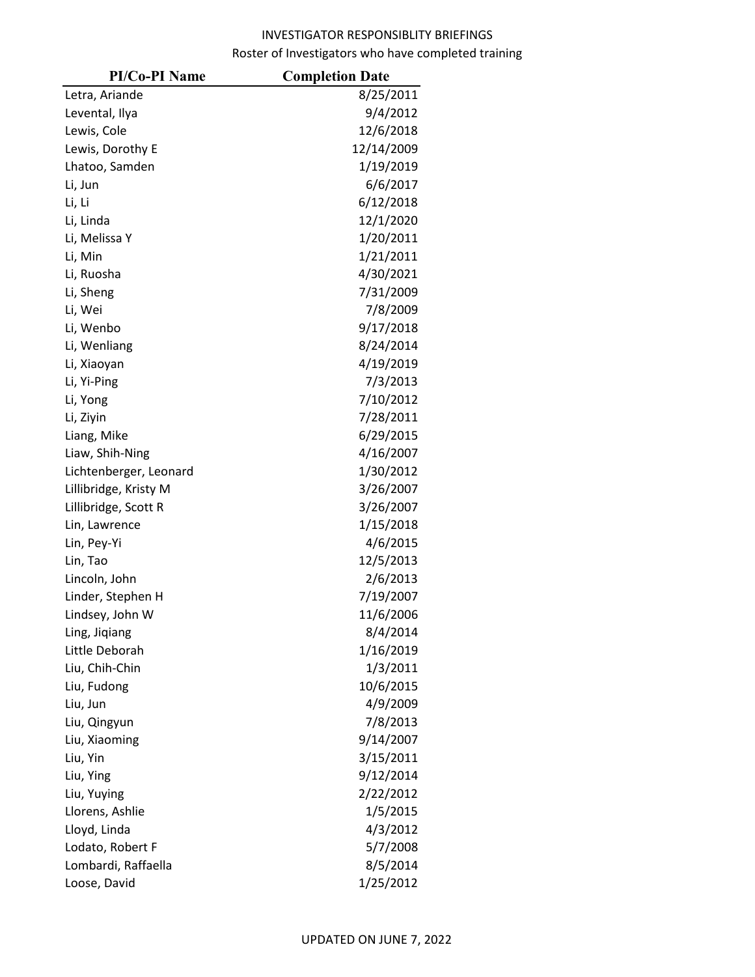| <b>PI/Co-PI Name</b>   | <b>Completion Date</b> |
|------------------------|------------------------|
| Letra, Ariande         | 8/25/2011              |
| Levental, Ilya         | 9/4/2012               |
| Lewis, Cole            | 12/6/2018              |
| Lewis, Dorothy E       | 12/14/2009             |
| Lhatoo, Samden         | 1/19/2019              |
| Li, Jun                | 6/6/2017               |
| Li, Li                 | 6/12/2018              |
| Li, Linda              | 12/1/2020              |
| Li, Melissa Y          | 1/20/2011              |
| Li, Min                | 1/21/2011              |
| Li, Ruosha             | 4/30/2021              |
| Li, Sheng              | 7/31/2009              |
| Li, Wei                | 7/8/2009               |
| Li, Wenbo              | 9/17/2018              |
| Li, Wenliang           | 8/24/2014              |
| Li, Xiaoyan            | 4/19/2019              |
| Li, Yi-Ping            | 7/3/2013               |
| Li, Yong               | 7/10/2012              |
| Li, Ziyin              | 7/28/2011              |
| Liang, Mike            | 6/29/2015              |
| Liaw, Shih-Ning        | 4/16/2007              |
| Lichtenberger, Leonard | 1/30/2012              |
| Lillibridge, Kristy M  | 3/26/2007              |
| Lillibridge, Scott R   | 3/26/2007              |
| Lin, Lawrence          | 1/15/2018              |
| Lin, Pey-Yi            | 4/6/2015               |
| Lin, Tao               | 12/5/2013              |
| Lincoln, John          | 2/6/2013               |
| Linder, Stephen H      | 7/19/2007              |
| Lindsey, John W        | 11/6/2006              |
| Ling, Jiqiang          | 8/4/2014               |
| Little Deborah         | 1/16/2019              |
| Liu, Chih-Chin         | 1/3/2011               |
| Liu, Fudong            | 10/6/2015              |
| Liu, Jun               | 4/9/2009               |
| Liu, Qingyun           | 7/8/2013               |
| Liu, Xiaoming          | 9/14/2007              |
| Liu, Yin               | 3/15/2011              |
| Liu, Ying              | 9/12/2014              |
| Liu, Yuying            | 2/22/2012              |
| Llorens, Ashlie        | 1/5/2015               |
| Lloyd, Linda           | 4/3/2012               |
| Lodato, Robert F       | 5/7/2008               |
| Lombardi, Raffaella    | 8/5/2014               |
| Loose, David           | 1/25/2012              |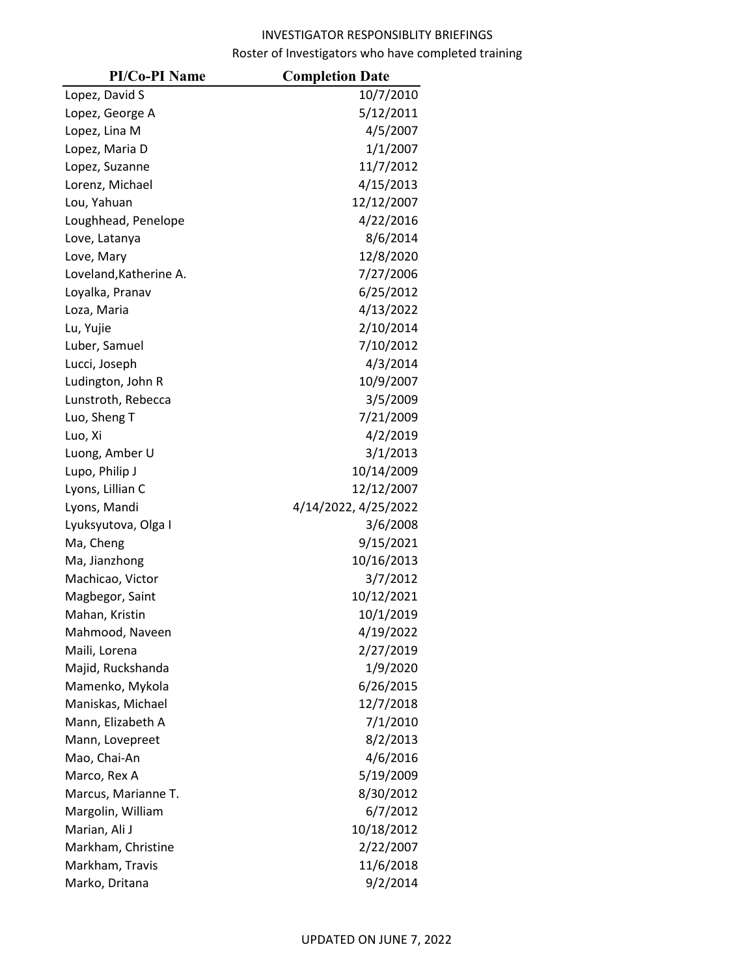| <b>PI/Co-PI Name</b>   | <b>Completion Date</b> |
|------------------------|------------------------|
| Lopez, David S         | 10/7/2010              |
| Lopez, George A        | 5/12/2011              |
| Lopez, Lina M          | 4/5/2007               |
| Lopez, Maria D         | 1/1/2007               |
| Lopez, Suzanne         | 11/7/2012              |
| Lorenz, Michael        | 4/15/2013              |
| Lou, Yahuan            | 12/12/2007             |
| Loughhead, Penelope    | 4/22/2016              |
| Love, Latanya          | 8/6/2014               |
| Love, Mary             | 12/8/2020              |
| Loveland, Katherine A. | 7/27/2006              |
| Loyalka, Pranav        | 6/25/2012              |
| Loza, Maria            | 4/13/2022              |
| Lu, Yujie              | 2/10/2014              |
| Luber, Samuel          | 7/10/2012              |
| Lucci, Joseph          | 4/3/2014               |
| Ludington, John R      | 10/9/2007              |
| Lunstroth, Rebecca     | 3/5/2009               |
| Luo, Sheng T           | 7/21/2009              |
| Luo, Xi                | 4/2/2019               |
| Luong, Amber U         | 3/1/2013               |
| Lupo, Philip J         | 10/14/2009             |
| Lyons, Lillian C       | 12/12/2007             |
| Lyons, Mandi           | 4/14/2022, 4/25/2022   |
| Lyuksyutova, Olga I    | 3/6/2008               |
| Ma, Cheng              | 9/15/2021              |
| Ma, Jianzhong          | 10/16/2013             |
| Machicao, Victor       | 3/7/2012               |
| Magbegor, Saint        | 10/12/2021             |
| Mahan, Kristin         | 10/1/2019              |
| Mahmood, Naveen        | 4/19/2022              |
| Maili, Lorena          | 2/27/2019              |
| Majid, Ruckshanda      | 1/9/2020               |
| Mamenko, Mykola        | 6/26/2015              |
| Maniskas, Michael      | 12/7/2018              |
| Mann, Elizabeth A      | 7/1/2010               |
| Mann, Lovepreet        | 8/2/2013               |
| Mao, Chai-An           | 4/6/2016               |
| Marco, Rex A           | 5/19/2009              |
| Marcus, Marianne T.    | 8/30/2012              |
| Margolin, William      | 6/7/2012               |
| Marian, Ali J          | 10/18/2012             |
| Markham, Christine     | 2/22/2007              |
| Markham, Travis        | 11/6/2018              |
| Marko, Dritana         | 9/2/2014               |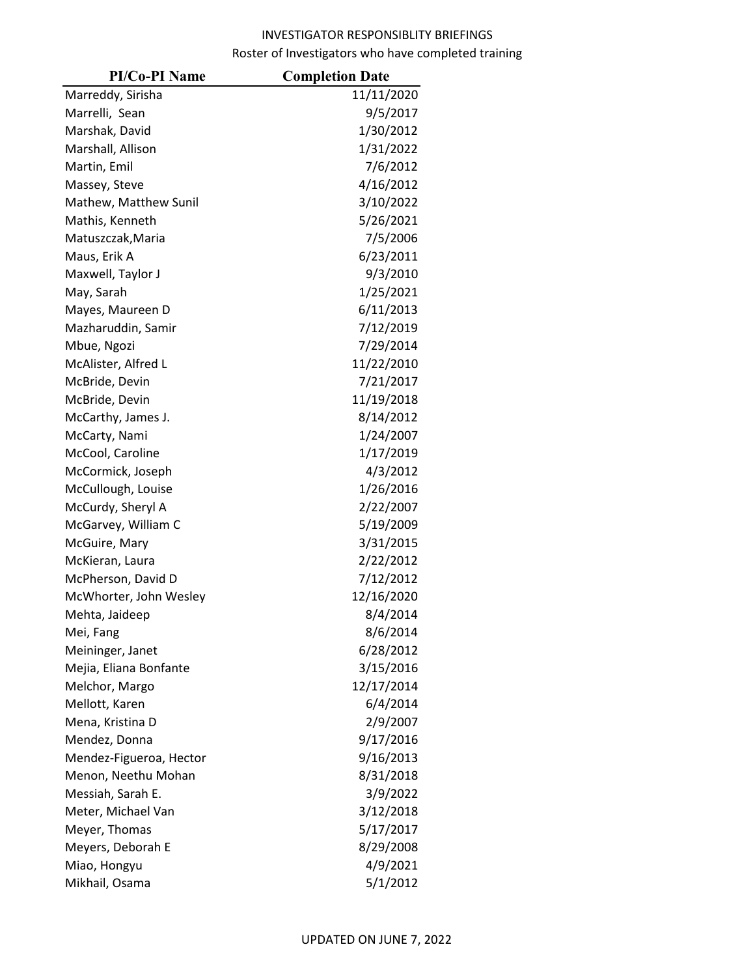| <b>PI/Co-PI Name</b>    | <b>Completion Date</b> |
|-------------------------|------------------------|
| Marreddy, Sirisha       | 11/11/2020             |
| Marrelli, Sean          | 9/5/2017               |
| Marshak, David          | 1/30/2012              |
| Marshall, Allison       | 1/31/2022              |
| Martin, Emil            | 7/6/2012               |
| Massey, Steve           | 4/16/2012              |
| Mathew, Matthew Sunil   | 3/10/2022              |
| Mathis, Kenneth         | 5/26/2021              |
| Matuszczak, Maria       | 7/5/2006               |
| Maus, Erik A            | 6/23/2011              |
| Maxwell, Taylor J       | 9/3/2010               |
| May, Sarah              | 1/25/2021              |
| Mayes, Maureen D        | 6/11/2013              |
| Mazharuddin, Samir      | 7/12/2019              |
| Mbue, Ngozi             | 7/29/2014              |
| McAlister, Alfred L     | 11/22/2010             |
| McBride, Devin          | 7/21/2017              |
| McBride, Devin          | 11/19/2018             |
| McCarthy, James J.      | 8/14/2012              |
| McCarty, Nami           | 1/24/2007              |
| McCool, Caroline        | 1/17/2019              |
| McCormick, Joseph       | 4/3/2012               |
| McCullough, Louise      | 1/26/2016              |
| McCurdy, Sheryl A       | 2/22/2007              |
| McGarvey, William C     | 5/19/2009              |
| McGuire, Mary           | 3/31/2015              |
| McKieran, Laura         | 2/22/2012              |
| McPherson, David D      | 7/12/2012              |
| McWhorter, John Wesley  | 12/16/2020             |
| Mehta, Jaideep          | 8/4/2014               |
| Mei, Fang               | 8/6/2014               |
| Meininger, Janet        | 6/28/2012              |
| Mejia, Eliana Bonfante  | 3/15/2016              |
| Melchor, Margo          | 12/17/2014             |
| Mellott, Karen          | 6/4/2014               |
| Mena, Kristina D        | 2/9/2007               |
| Mendez, Donna           | 9/17/2016              |
| Mendez-Figueroa, Hector | 9/16/2013              |
| Menon, Neethu Mohan     | 8/31/2018              |
| Messiah, Sarah E.       | 3/9/2022               |
| Meter, Michael Van      | 3/12/2018              |
| Meyer, Thomas           | 5/17/2017              |
| Meyers, Deborah E       | 8/29/2008              |
| Miao, Hongyu            | 4/9/2021               |
| Mikhail, Osama          | 5/1/2012               |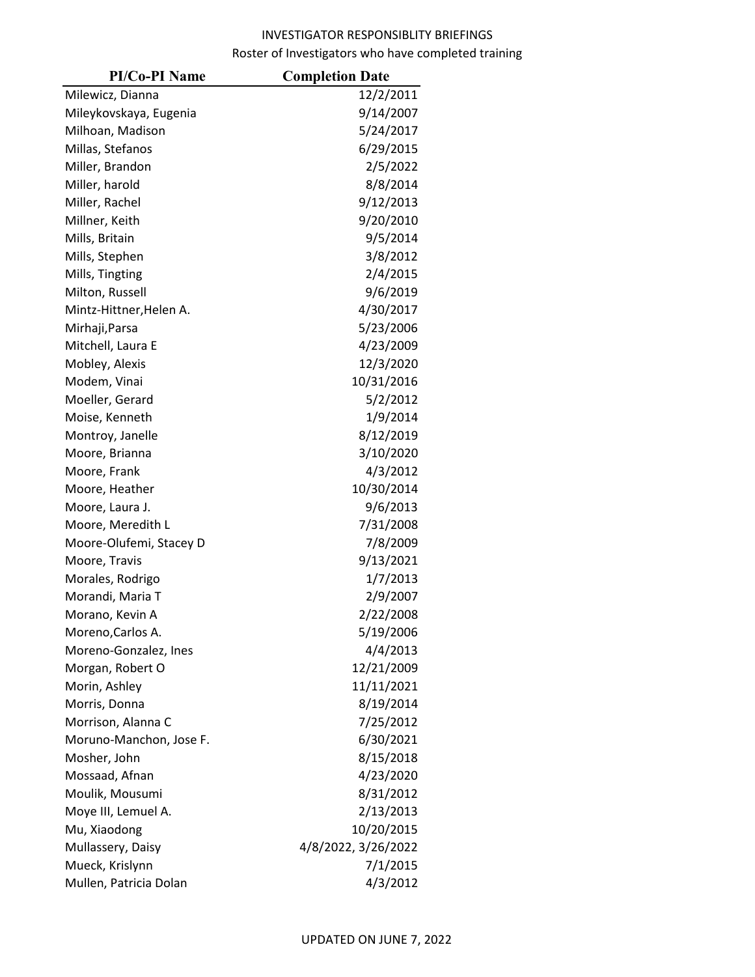| <b>PI/Co-PI Name</b>    | <b>Completion Date</b> |
|-------------------------|------------------------|
| Milewicz, Dianna        | 12/2/2011              |
| Mileykovskaya, Eugenia  | 9/14/2007              |
| Milhoan, Madison        | 5/24/2017              |
| Millas, Stefanos        | 6/29/2015              |
| Miller, Brandon         | 2/5/2022               |
| Miller, harold          | 8/8/2014               |
| Miller, Rachel          | 9/12/2013              |
| Millner, Keith          | 9/20/2010              |
| Mills, Britain          | 9/5/2014               |
| Mills, Stephen          | 3/8/2012               |
| Mills, Tingting         | 2/4/2015               |
| Milton, Russell         | 9/6/2019               |
| Mintz-Hittner, Helen A. | 4/30/2017              |
| Mirhaji, Parsa          | 5/23/2006              |
| Mitchell, Laura E       | 4/23/2009              |
| Mobley, Alexis          | 12/3/2020              |
| Modem, Vinai            | 10/31/2016             |
| Moeller, Gerard         | 5/2/2012               |
| Moise, Kenneth          | 1/9/2014               |
| Montroy, Janelle        | 8/12/2019              |
| Moore, Brianna          | 3/10/2020              |
| Moore, Frank            | 4/3/2012               |
| Moore, Heather          | 10/30/2014             |
| Moore, Laura J.         | 9/6/2013               |
| Moore, Meredith L       | 7/31/2008              |
| Moore-Olufemi, Stacey D | 7/8/2009               |
| Moore, Travis           | 9/13/2021              |
| Morales, Rodrigo        | 1/7/2013               |
| Morandi, Maria T        | 2/9/2007               |
| Morano, Kevin A         | 2/22/2008              |
| Moreno,Carlos A.        | 5/19/2006              |
| Moreno-Gonzalez, Ines   | 4/4/2013               |
| Morgan, Robert O        | 12/21/2009             |
| Morin, Ashley           | 11/11/2021             |
| Morris, Donna           | 8/19/2014              |
| Morrison, Alanna C      | 7/25/2012              |
| Moruno-Manchon, Jose F. | 6/30/2021              |
| Mosher, John            | 8/15/2018              |
| Mossaad, Afnan          | 4/23/2020              |
| Moulik, Mousumi         | 8/31/2012              |
| Moye III, Lemuel A.     | 2/13/2013              |
| Mu, Xiaodong            | 10/20/2015             |
| Mullassery, Daisy       | 4/8/2022, 3/26/2022    |
| Mueck, Krislynn         | 7/1/2015               |
| Mullen, Patricia Dolan  | 4/3/2012               |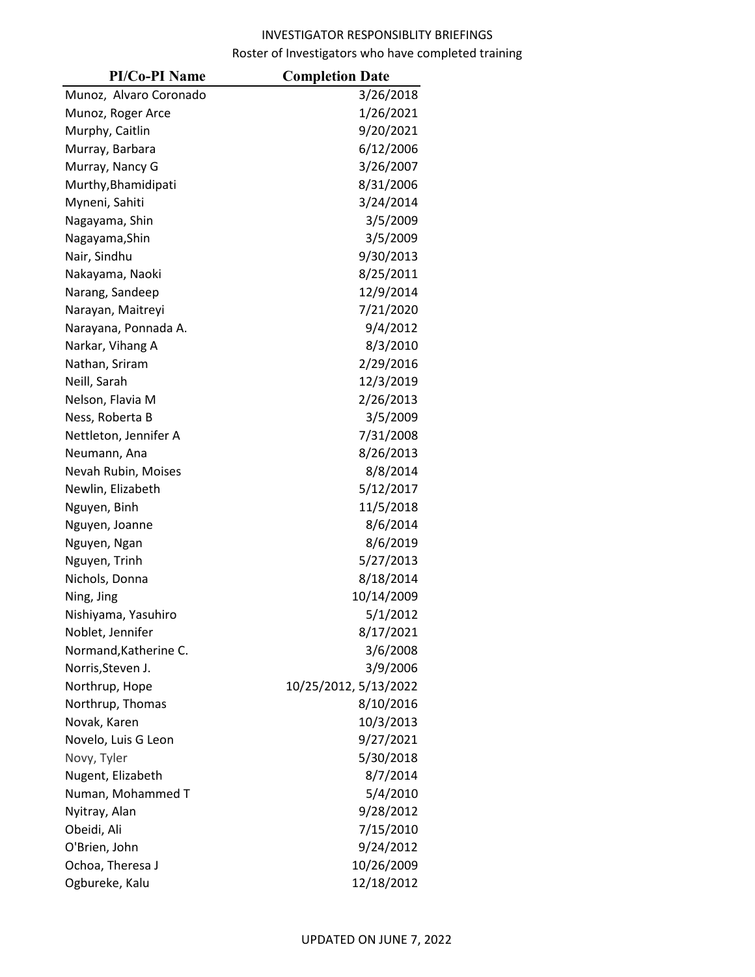| <b>PI/Co-PI Name</b>   | <b>Completion Date</b> |
|------------------------|------------------------|
| Munoz, Alvaro Coronado | 3/26/2018              |
| Munoz, Roger Arce      | 1/26/2021              |
| Murphy, Caitlin        | 9/20/2021              |
| Murray, Barbara        | 6/12/2006              |
| Murray, Nancy G        | 3/26/2007              |
| Murthy, Bhamidipati    | 8/31/2006              |
| Myneni, Sahiti         | 3/24/2014              |
| Nagayama, Shin         | 3/5/2009               |
| Nagayama, Shin         | 3/5/2009               |
| Nair, Sindhu           | 9/30/2013              |
| Nakayama, Naoki        | 8/25/2011              |
| Narang, Sandeep        | 12/9/2014              |
| Narayan, Maitreyi      | 7/21/2020              |
| Narayana, Ponnada A.   | 9/4/2012               |
| Narkar, Vihang A       | 8/3/2010               |
| Nathan, Sriram         | 2/29/2016              |
| Neill, Sarah           | 12/3/2019              |
| Nelson, Flavia M       | 2/26/2013              |
| Ness, Roberta B        | 3/5/2009               |
| Nettleton, Jennifer A  | 7/31/2008              |
| Neumann, Ana           | 8/26/2013              |
| Nevah Rubin, Moises    | 8/8/2014               |
| Newlin, Elizabeth      | 5/12/2017              |
| Nguyen, Binh           | 11/5/2018              |
| Nguyen, Joanne         | 8/6/2014               |
| Nguyen, Ngan           | 8/6/2019               |
| Nguyen, Trinh          | 5/27/2013              |
| Nichols, Donna         | 8/18/2014              |
| Ning, Jing             | 10/14/2009             |
| Nishiyama, Yasuhiro    | 5/1/2012               |
| Noblet, Jennifer       | 8/17/2021              |
| Normand, Katherine C.  | 3/6/2008               |
| Norris, Steven J.      | 3/9/2006               |
| Northrup, Hope         | 10/25/2012, 5/13/2022  |
| Northrup, Thomas       | 8/10/2016              |
| Novak, Karen           | 10/3/2013              |
| Novelo, Luis G Leon    | 9/27/2021              |
| Novy, Tyler            | 5/30/2018              |
| Nugent, Elizabeth      | 8/7/2014               |
| Numan, Mohammed T      | 5/4/2010               |
| Nyitray, Alan          | 9/28/2012              |
| Obeidi, Ali            | 7/15/2010              |
| O'Brien, John          | 9/24/2012              |
| Ochoa, Theresa J       | 10/26/2009             |
| Ogbureke, Kalu         | 12/18/2012             |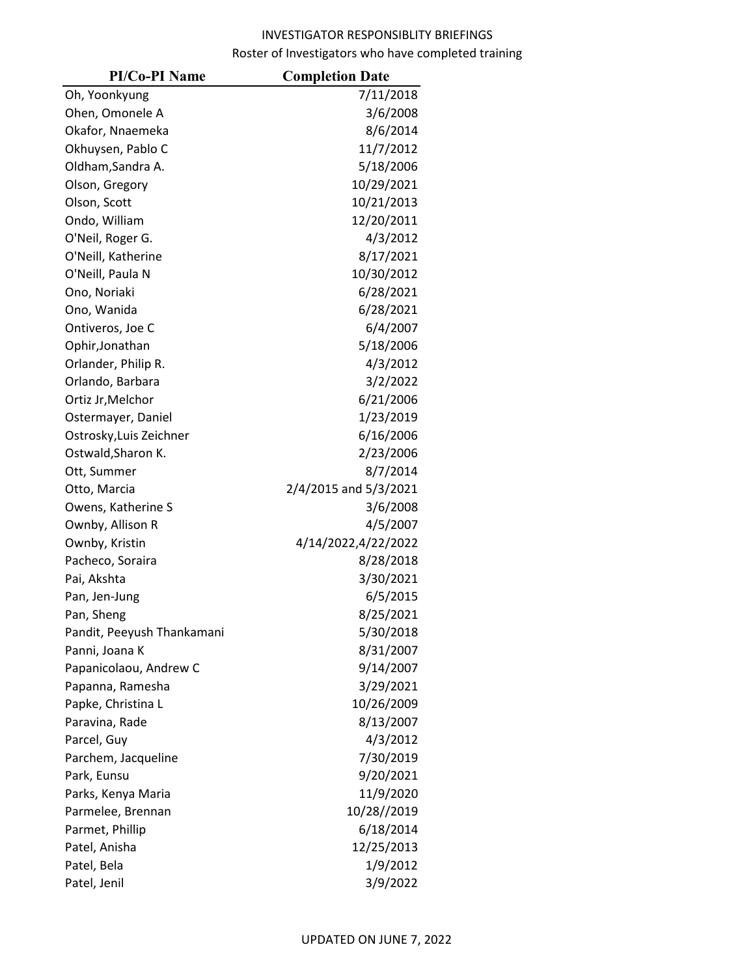| <b>PI/Co-PI Name</b>       | <b>Completion Date</b> |
|----------------------------|------------------------|
| Oh, Yoonkyung              | 7/11/2018              |
| Ohen, Omonele A            | 3/6/2008               |
| Okafor, Nnaemeka           | 8/6/2014               |
| Okhuysen, Pablo C          | 11/7/2012              |
| Oldham, Sandra A.          | 5/18/2006              |
| Olson, Gregory             | 10/29/2021             |
| Olson, Scott               | 10/21/2013             |
| Ondo, William              | 12/20/2011             |
| O'Neil, Roger G.           | 4/3/2012               |
| O'Neill, Katherine         | 8/17/2021              |
| O'Neill, Paula N           | 10/30/2012             |
| Ono, Noriaki               | 6/28/2021              |
| Ono, Wanida                | 6/28/2021              |
| Ontiveros, Joe C           | 6/4/2007               |
| Ophir, Jonathan            | 5/18/2006              |
| Orlander, Philip R.        | 4/3/2012               |
| Orlando, Barbara           | 3/2/2022               |
| Ortiz Jr, Melchor          | 6/21/2006              |
| Ostermayer, Daniel         | 1/23/2019              |
| Ostrosky, Luis Zeichner    | 6/16/2006              |
| Ostwald, Sharon K.         | 2/23/2006              |
| Ott, Summer                | 8/7/2014               |
| Otto, Marcia               | 2/4/2015 and 5/3/2021  |
| Owens, Katherine S         | 3/6/2008               |
| Ownby, Allison R           | 4/5/2007               |
| Ownby, Kristin             | 4/14/2022,4/22/2022    |
| Pacheco, Soraira           | 8/28/2018              |
| Pai, Akshta                | 3/30/2021              |
| Pan, Jen-Jung              | 6/5/2015               |
| Pan, Sheng                 | 8/25/2021              |
| Pandit, Peeyush Thankamani | 5/30/2018              |
| Panni, Joana K             | 8/31/2007              |
| Papanicolaou, Andrew C     | 9/14/2007              |
| Papanna, Ramesha           | 3/29/2021              |
| Papke, Christina L         | 10/26/2009             |
| Paravina, Rade             | 8/13/2007              |
| Parcel, Guy                | 4/3/2012               |
| Parchem, Jacqueline        | 7/30/2019              |
| Park, Eunsu                | 9/20/2021              |
| Parks, Kenya Maria         | 11/9/2020              |
| Parmelee, Brennan          | 10/28//2019            |
| Parmet, Phillip            | 6/18/2014              |
| Patel, Anisha              | 12/25/2013             |
| Patel, Bela                | 1/9/2012               |
| Patel, Jenil               | 3/9/2022               |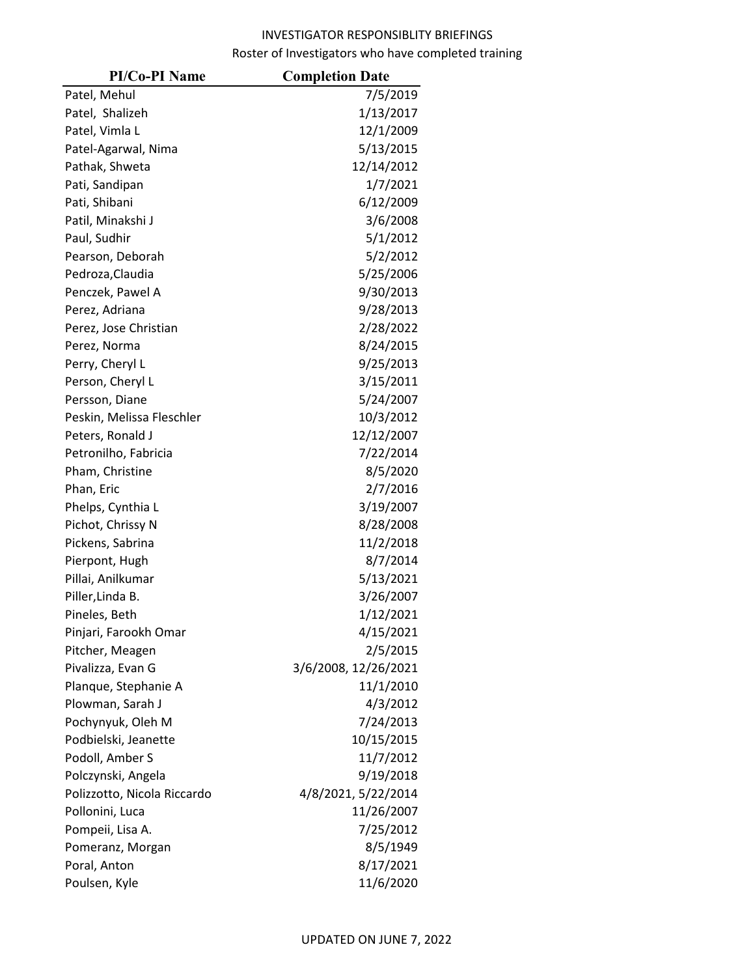| <b>PI/Co-PI Name</b>        | <b>Completion Date</b> |
|-----------------------------|------------------------|
| Patel, Mehul                | 7/5/2019               |
| Patel, Shalizeh             | 1/13/2017              |
| Patel, Vimla L              | 12/1/2009              |
| Patel-Agarwal, Nima         | 5/13/2015              |
| Pathak, Shweta              | 12/14/2012             |
| Pati, Sandipan              | 1/7/2021               |
| Pati, Shibani               | 6/12/2009              |
| Patil, Minakshi J           | 3/6/2008               |
| Paul, Sudhir                | 5/1/2012               |
| Pearson, Deborah            | 5/2/2012               |
| Pedroza, Claudia            | 5/25/2006              |
| Penczek, Pawel A            | 9/30/2013              |
| Perez, Adriana              | 9/28/2013              |
| Perez, Jose Christian       | 2/28/2022              |
| Perez, Norma                | 8/24/2015              |
| Perry, Cheryl L             | 9/25/2013              |
| Person, Cheryl L            | 3/15/2011              |
| Persson, Diane              | 5/24/2007              |
| Peskin, Melissa Fleschler   | 10/3/2012              |
| Peters, Ronald J            | 12/12/2007             |
| Petronilho, Fabricia        | 7/22/2014              |
| Pham, Christine             | 8/5/2020               |
| Phan, Eric                  | 2/7/2016               |
| Phelps, Cynthia L           | 3/19/2007              |
| Pichot, Chrissy N           | 8/28/2008              |
| Pickens, Sabrina            | 11/2/2018              |
| Pierpont, Hugh              | 8/7/2014               |
| Pillai, Anilkumar           | 5/13/2021              |
| Piller, Linda B.            | 3/26/2007              |
| Pineles, Beth               | 1/12/2021              |
| Pinjari, Farookh Omar       | 4/15/2021              |
| Pitcher, Meagen             | 2/5/2015               |
| Pivalizza, Evan G           | 3/6/2008, 12/26/2021   |
| Planque, Stephanie A        | 11/1/2010              |
| Plowman, Sarah J            | 4/3/2012               |
| Pochynyuk, Oleh M           | 7/24/2013              |
| Podbielski, Jeanette        | 10/15/2015             |
| Podoll, Amber S             | 11/7/2012              |
| Polczynski, Angela          | 9/19/2018              |
| Polizzotto, Nicola Riccardo | 4/8/2021, 5/22/2014    |
| Pollonini, Luca             | 11/26/2007             |
| Pompeii, Lisa A.            | 7/25/2012              |
| Pomeranz, Morgan            | 8/5/1949               |
| Poral, Anton                | 8/17/2021              |
| Poulsen, Kyle               | 11/6/2020              |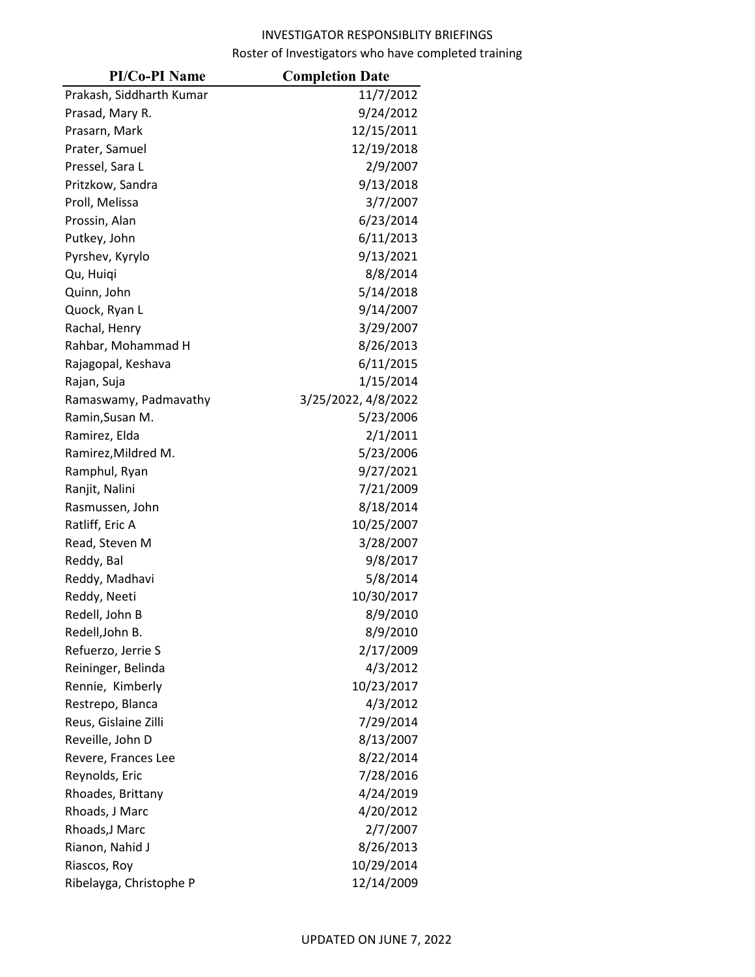| <b>PI/Co-PI Name</b>     | <b>Completion Date</b> |
|--------------------------|------------------------|
| Prakash, Siddharth Kumar | 11/7/2012              |
| Prasad, Mary R.          | 9/24/2012              |
| Prasarn, Mark            | 12/15/2011             |
| Prater, Samuel           | 12/19/2018             |
| Pressel, Sara L          | 2/9/2007               |
| Pritzkow, Sandra         | 9/13/2018              |
| Proll, Melissa           | 3/7/2007               |
| Prossin, Alan            | 6/23/2014              |
| Putkey, John             | 6/11/2013              |
| Pyrshev, Kyrylo          | 9/13/2021              |
| Qu, Huiqi                | 8/8/2014               |
| Quinn, John              | 5/14/2018              |
| Quock, Ryan L            | 9/14/2007              |
| Rachal, Henry            | 3/29/2007              |
| Rahbar, Mohammad H       | 8/26/2013              |
| Rajagopal, Keshava       | 6/11/2015              |
| Rajan, Suja              | 1/15/2014              |
| Ramaswamy, Padmavathy    | 3/25/2022, 4/8/2022    |
| Ramin, Susan M.          | 5/23/2006              |
| Ramirez, Elda            | 2/1/2011               |
| Ramirez, Mildred M.      | 5/23/2006              |
| Ramphul, Ryan            | 9/27/2021              |
| Ranjit, Nalini           | 7/21/2009              |
| Rasmussen, John          | 8/18/2014              |
| Ratliff, Eric A          | 10/25/2007             |
| Read, Steven M           | 3/28/2007              |
| Reddy, Bal               | 9/8/2017               |
| Reddy, Madhavi           | 5/8/2014               |
| Reddy, Neeti             | 10/30/2017             |
| Redell, John B           | 8/9/2010               |
| Redell, John B.          | 8/9/2010               |
| Refuerzo, Jerrie S       | 2/17/2009              |
| Reininger, Belinda       | 4/3/2012               |
| Rennie, Kimberly         | 10/23/2017             |
| Restrepo, Blanca         | 4/3/2012               |
| Reus, Gislaine Zilli     | 7/29/2014              |
| Reveille, John D         | 8/13/2007              |
| Revere, Frances Lee      | 8/22/2014              |
| Reynolds, Eric           | 7/28/2016              |
| Rhoades, Brittany        | 4/24/2019              |
| Rhoads, J Marc           | 4/20/2012              |
| Rhoads, J Marc           | 2/7/2007               |
| Rianon, Nahid J          | 8/26/2013              |
| Riascos, Roy             | 10/29/2014             |
| Ribelayga, Christophe P  | 12/14/2009             |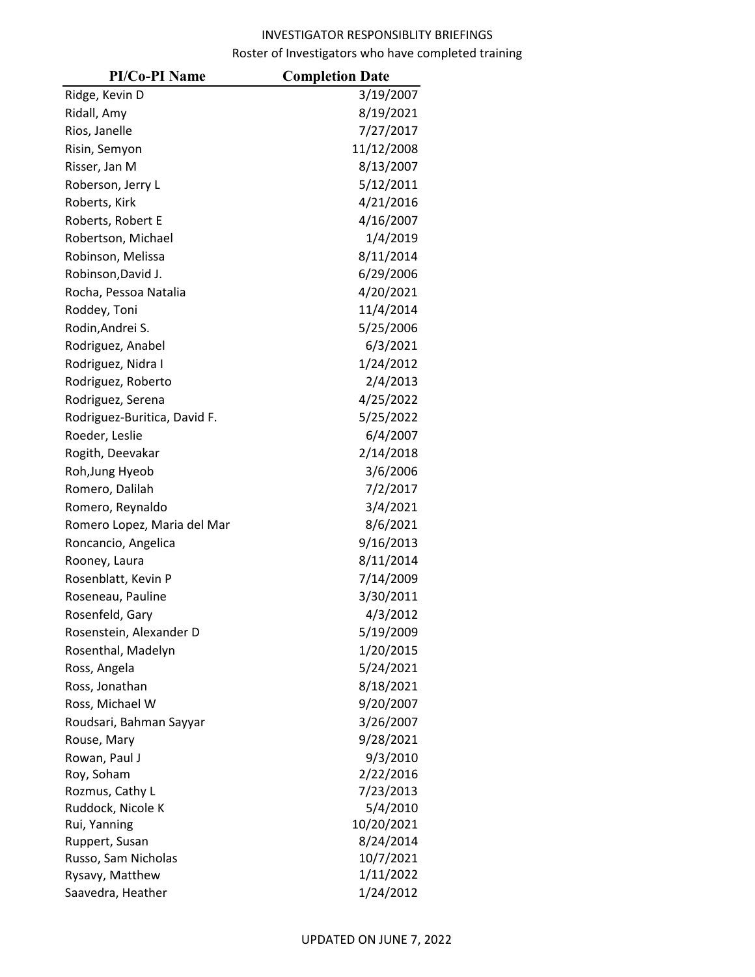| <b>PI/Co-PI Name</b>         | <b>Completion Date</b> |
|------------------------------|------------------------|
| Ridge, Kevin D               | 3/19/2007              |
| Ridall, Amy                  | 8/19/2021              |
| Rios, Janelle                | 7/27/2017              |
| Risin, Semyon                | 11/12/2008             |
| Risser, Jan M                | 8/13/2007              |
| Roberson, Jerry L            | 5/12/2011              |
| Roberts, Kirk                | 4/21/2016              |
| Roberts, Robert E            | 4/16/2007              |
| Robertson, Michael           | 1/4/2019               |
| Robinson, Melissa            | 8/11/2014              |
| Robinson, David J.           | 6/29/2006              |
| Rocha, Pessoa Natalia        | 4/20/2021              |
| Roddey, Toni                 | 11/4/2014              |
| Rodin, Andrei S.             | 5/25/2006              |
| Rodriguez, Anabel            | 6/3/2021               |
| Rodriguez, Nidra I           | 1/24/2012              |
| Rodriguez, Roberto           | 2/4/2013               |
| Rodriguez, Serena            | 4/25/2022              |
| Rodriguez-Buritica, David F. | 5/25/2022              |
| Roeder, Leslie               | 6/4/2007               |
| Rogith, Deevakar             | 2/14/2018              |
| Roh, Jung Hyeob              | 3/6/2006               |
| Romero, Dalilah              | 7/2/2017               |
| Romero, Reynaldo             | 3/4/2021               |
| Romero Lopez, Maria del Mar  | 8/6/2021               |
| Roncancio, Angelica          | 9/16/2013              |
| Rooney, Laura                | 8/11/2014              |
| Rosenblatt, Kevin P          | 7/14/2009              |
| Roseneau, Pauline            | 3/30/2011              |
| Rosenfeld, Gary              | 4/3/2012               |
| Rosenstein, Alexander D      | 5/19/2009              |
| Rosenthal, Madelyn           | 1/20/2015              |
| Ross, Angela                 | 5/24/2021              |
| Ross, Jonathan               | 8/18/2021              |
| Ross, Michael W              | 9/20/2007              |
| Roudsari, Bahman Sayyar      | 3/26/2007              |
| Rouse, Mary                  | 9/28/2021              |
| Rowan, Paul J                | 9/3/2010               |
| Roy, Soham                   | 2/22/2016              |
| Rozmus, Cathy L              | 7/23/2013              |
| Ruddock, Nicole K            | 5/4/2010               |
| Rui, Yanning                 | 10/20/2021             |
| Ruppert, Susan               | 8/24/2014              |
| Russo, Sam Nicholas          | 10/7/2021              |
| Rysavy, Matthew              | 1/11/2022              |
| Saavedra, Heather            | 1/24/2012              |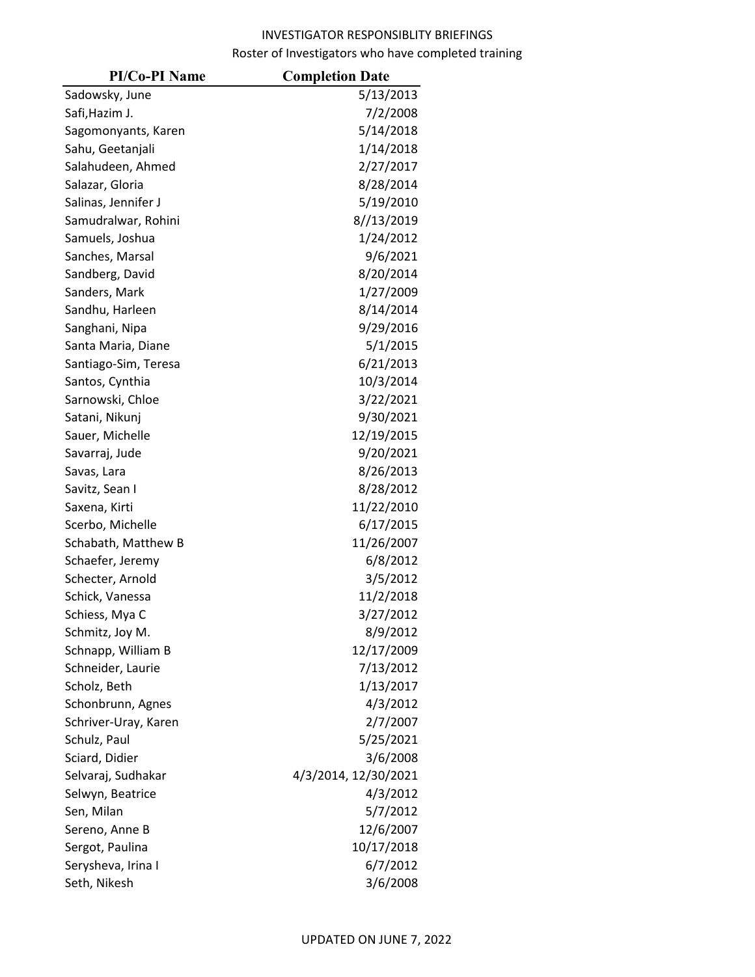| <b>PI/Co-PI Name</b> | <b>Completion Date</b> |
|----------------------|------------------------|
| Sadowsky, June       | 5/13/2013              |
| Safi, Hazim J.       | 7/2/2008               |
| Sagomonyants, Karen  | 5/14/2018              |
| Sahu, Geetanjali     | 1/14/2018              |
| Salahudeen, Ahmed    | 2/27/2017              |
| Salazar, Gloria      | 8/28/2014              |
| Salinas, Jennifer J  | 5/19/2010              |
| Samudralwar, Rohini  | 8//13/2019             |
| Samuels, Joshua      | 1/24/2012              |
| Sanches, Marsal      | 9/6/2021               |
| Sandberg, David      | 8/20/2014              |
| Sanders, Mark        | 1/27/2009              |
| Sandhu, Harleen      | 8/14/2014              |
| Sanghani, Nipa       | 9/29/2016              |
| Santa Maria, Diane   | 5/1/2015               |
| Santiago-Sim, Teresa | 6/21/2013              |
| Santos, Cynthia      | 10/3/2014              |
| Sarnowski, Chloe     | 3/22/2021              |
| Satani, Nikunj       | 9/30/2021              |
| Sauer, Michelle      | 12/19/2015             |
| Savarraj, Jude       | 9/20/2021              |
| Savas, Lara          | 8/26/2013              |
| Savitz, Sean I       | 8/28/2012              |
| Saxena, Kirti        | 11/22/2010             |
| Scerbo, Michelle     | 6/17/2015              |
| Schabath, Matthew B  | 11/26/2007             |
| Schaefer, Jeremy     | 6/8/2012               |
| Schecter, Arnold     | 3/5/2012               |
| Schick, Vanessa      | 11/2/2018              |
| Schiess, Mya C       | 3/27/2012              |
| Schmitz, Joy M.      | 8/9/2012               |
| Schnapp, William B   | 12/17/2009             |
| Schneider, Laurie    | 7/13/2012              |
| Scholz, Beth         | 1/13/2017              |
| Schonbrunn, Agnes    | 4/3/2012               |
| Schriver-Uray, Karen | 2/7/2007               |
| Schulz, Paul         | 5/25/2021              |
| Sciard, Didier       | 3/6/2008               |
| Selvaraj, Sudhakar   | 4/3/2014, 12/30/2021   |
| Selwyn, Beatrice     | 4/3/2012               |
| Sen, Milan           | 5/7/2012               |
| Sereno, Anne B       | 12/6/2007              |
| Sergot, Paulina      | 10/17/2018             |
| Serysheva, Irina I   | 6/7/2012               |
| Seth, Nikesh         | 3/6/2008               |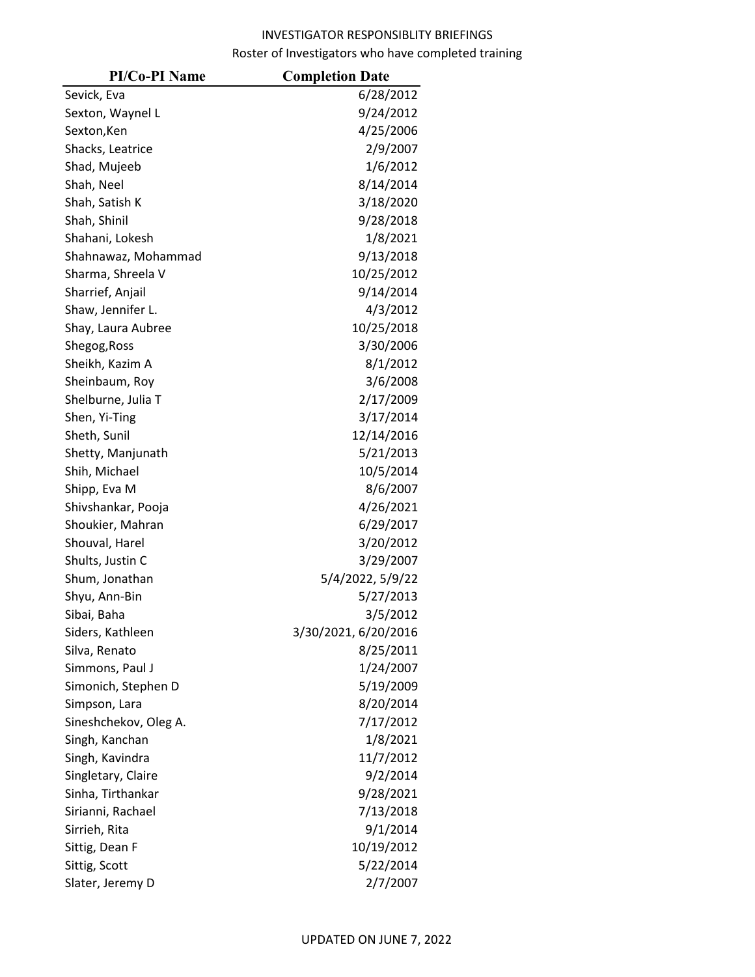| <b>PI/Co-PI Name</b>  | <b>Completion Date</b> |
|-----------------------|------------------------|
| Sevick, Eva           | 6/28/2012              |
| Sexton, Waynel L      | 9/24/2012              |
| Sexton, Ken           | 4/25/2006              |
| Shacks, Leatrice      | 2/9/2007               |
| Shad, Mujeeb          | 1/6/2012               |
| Shah, Neel            | 8/14/2014              |
| Shah, Satish K        | 3/18/2020              |
| Shah, Shinil          | 9/28/2018              |
| Shahani, Lokesh       | 1/8/2021               |
| Shahnawaz, Mohammad   | 9/13/2018              |
| Sharma, Shreela V     | 10/25/2012             |
| Sharrief, Anjail      | 9/14/2014              |
| Shaw, Jennifer L.     | 4/3/2012               |
| Shay, Laura Aubree    | 10/25/2018             |
| Shegog, Ross          | 3/30/2006              |
| Sheikh, Kazim A       | 8/1/2012               |
| Sheinbaum, Roy        | 3/6/2008               |
| Shelburne, Julia T    | 2/17/2009              |
| Shen, Yi-Ting         | 3/17/2014              |
| Sheth, Sunil          | 12/14/2016             |
| Shetty, Manjunath     | 5/21/2013              |
| Shih, Michael         | 10/5/2014              |
| Shipp, Eva M          | 8/6/2007               |
| Shivshankar, Pooja    | 4/26/2021              |
| Shoukier, Mahran      | 6/29/2017              |
| Shouval, Harel        | 3/20/2012              |
| Shults, Justin C      | 3/29/2007              |
| Shum, Jonathan        | 5/4/2022, 5/9/22       |
| Shyu, Ann-Bin         | 5/27/2013              |
| Sibai, Baha           | 3/5/2012               |
| Siders, Kathleen      | 3/30/2021, 6/20/2016   |
| Silva, Renato         | 8/25/2011              |
| Simmons, Paul J       | 1/24/2007              |
| Simonich, Stephen D   | 5/19/2009              |
| Simpson, Lara         | 8/20/2014              |
| Sineshchekov, Oleg A. | 7/17/2012              |
| Singh, Kanchan        | 1/8/2021               |
| Singh, Kavindra       | 11/7/2012              |
| Singletary, Claire    | 9/2/2014               |
| Sinha, Tirthankar     | 9/28/2021              |
| Sirianni, Rachael     | 7/13/2018              |
| Sirrieh, Rita         | 9/1/2014               |
| Sittig, Dean F        | 10/19/2012             |
| Sittig, Scott         | 5/22/2014              |
| Slater, Jeremy D      | 2/7/2007               |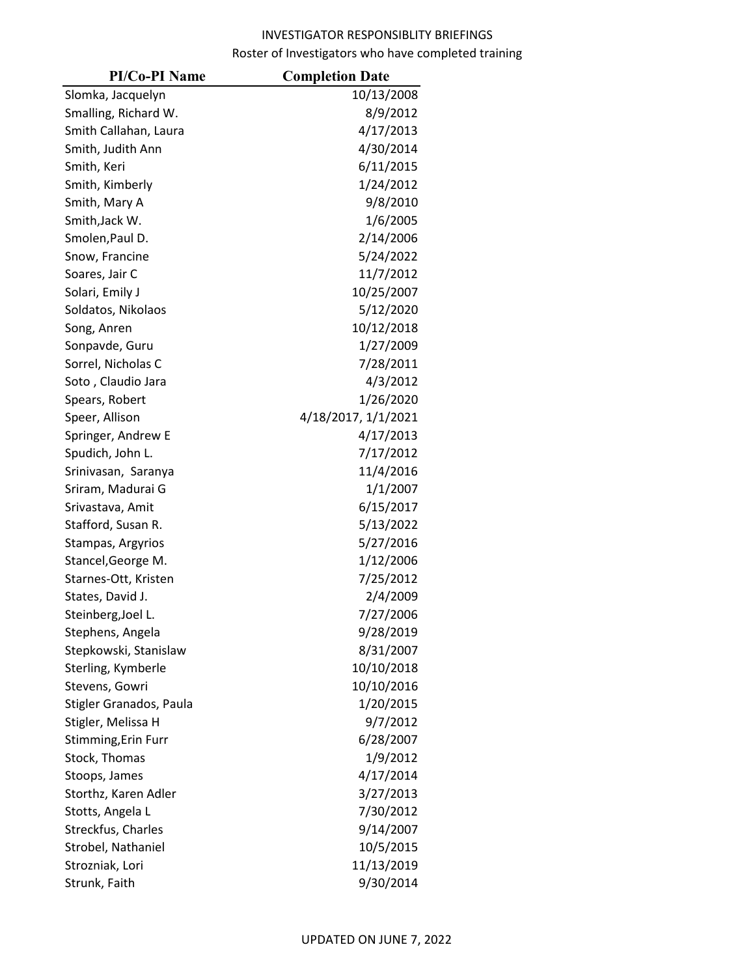| <b>PI/Co-PI Name</b>    | <b>Completion Date</b> |
|-------------------------|------------------------|
| Slomka, Jacquelyn       | 10/13/2008             |
| Smalling, Richard W.    | 8/9/2012               |
| Smith Callahan, Laura   | 4/17/2013              |
| Smith, Judith Ann       | 4/30/2014              |
| Smith, Keri             | 6/11/2015              |
| Smith, Kimberly         | 1/24/2012              |
| Smith, Mary A           | 9/8/2010               |
| Smith, Jack W.          | 1/6/2005               |
| Smolen, Paul D.         | 2/14/2006              |
| Snow, Francine          | 5/24/2022              |
| Soares, Jair C          | 11/7/2012              |
| Solari, Emily J         | 10/25/2007             |
| Soldatos, Nikolaos      | 5/12/2020              |
| Song, Anren             | 10/12/2018             |
| Sonpavde, Guru          | 1/27/2009              |
| Sorrel, Nicholas C      | 7/28/2011              |
| Soto, Claudio Jara      | 4/3/2012               |
| Spears, Robert          | 1/26/2020              |
| Speer, Allison          | 4/18/2017, 1/1/2021    |
| Springer, Andrew E      | 4/17/2013              |
| Spudich, John L.        | 7/17/2012              |
| Srinivasan, Saranya     | 11/4/2016              |
| Sriram, Madurai G       | 1/1/2007               |
| Srivastava, Amit        | 6/15/2017              |
| Stafford, Susan R.      | 5/13/2022              |
| Stampas, Argyrios       | 5/27/2016              |
| Stancel, George M.      | 1/12/2006              |
| Starnes-Ott, Kristen    | 7/25/2012              |
| States, David J.        | 2/4/2009               |
| Steinberg, Joel L.      | 7/27/2006              |
| Stephens, Angela        | 9/28/2019              |
| Stepkowski, Stanislaw   | 8/31/2007              |
| Sterling, Kymberle      | 10/10/2018             |
| Stevens, Gowri          | 10/10/2016             |
| Stigler Granados, Paula | 1/20/2015              |
| Stigler, Melissa H      | 9/7/2012               |
| Stimming, Erin Furr     | 6/28/2007              |
| Stock, Thomas           | 1/9/2012               |
| Stoops, James           | 4/17/2014              |
| Storthz, Karen Adler    | 3/27/2013              |
| Stotts, Angela L        | 7/30/2012              |
| Streckfus, Charles      | 9/14/2007              |
| Strobel, Nathaniel      | 10/5/2015              |
| Strozniak, Lori         | 11/13/2019             |
| Strunk, Faith           | 9/30/2014              |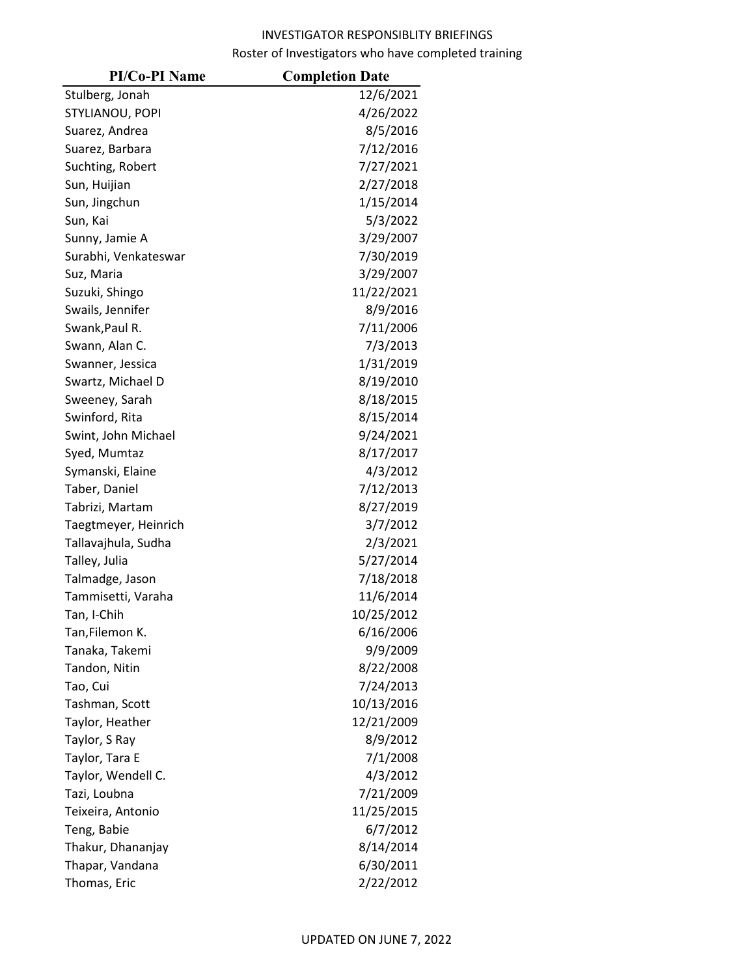| <b>PI/Co-PI Name</b> | <b>Completion Date</b> |
|----------------------|------------------------|
| Stulberg, Jonah      | 12/6/2021              |
| STYLIANOU, POPI      | 4/26/2022              |
| Suarez, Andrea       | 8/5/2016               |
| Suarez, Barbara      | 7/12/2016              |
| Suchting, Robert     | 7/27/2021              |
| Sun, Huijian         | 2/27/2018              |
| Sun, Jingchun        | 1/15/2014              |
| Sun, Kai             | 5/3/2022               |
| Sunny, Jamie A       | 3/29/2007              |
| Surabhi, Venkateswar | 7/30/2019              |
| Suz, Maria           | 3/29/2007              |
| Suzuki, Shingo       | 11/22/2021             |
| Swails, Jennifer     | 8/9/2016               |
| Swank, Paul R.       | 7/11/2006              |
| Swann, Alan C.       | 7/3/2013               |
| Swanner, Jessica     | 1/31/2019              |
| Swartz, Michael D    | 8/19/2010              |
| Sweeney, Sarah       | 8/18/2015              |
| Swinford, Rita       | 8/15/2014              |
| Swint, John Michael  | 9/24/2021              |
| Syed, Mumtaz         | 8/17/2017              |
| Symanski, Elaine     | 4/3/2012               |
| Taber, Daniel        | 7/12/2013              |
| Tabrizi, Martam      | 8/27/2019              |
| Taegtmeyer, Heinrich | 3/7/2012               |
| Tallavajhula, Sudha  | 2/3/2021               |
| Talley, Julia        | 5/27/2014              |
| Talmadge, Jason      | 7/18/2018              |
| Tammisetti, Varaha   | 11/6/2014              |
| Tan, I-Chih          | 10/25/2012             |
| Tan,Filemon K.       | 6/16/2006              |
| Tanaka, Takemi       | 9/9/2009               |
| Tandon, Nitin        | 8/22/2008              |
| Tao, Cui             | 7/24/2013              |
| Tashman, Scott       | 10/13/2016             |
| Taylor, Heather      | 12/21/2009             |
| Taylor, S Ray        | 8/9/2012               |
| Taylor, Tara E       | 7/1/2008               |
| Taylor, Wendell C.   | 4/3/2012               |
| Tazi, Loubna         | 7/21/2009              |
| Teixeira, Antonio    | 11/25/2015             |
| Teng, Babie          | 6/7/2012               |
| Thakur, Dhananjay    | 8/14/2014              |
| Thapar, Vandana      | 6/30/2011              |
| Thomas, Eric         | 2/22/2012              |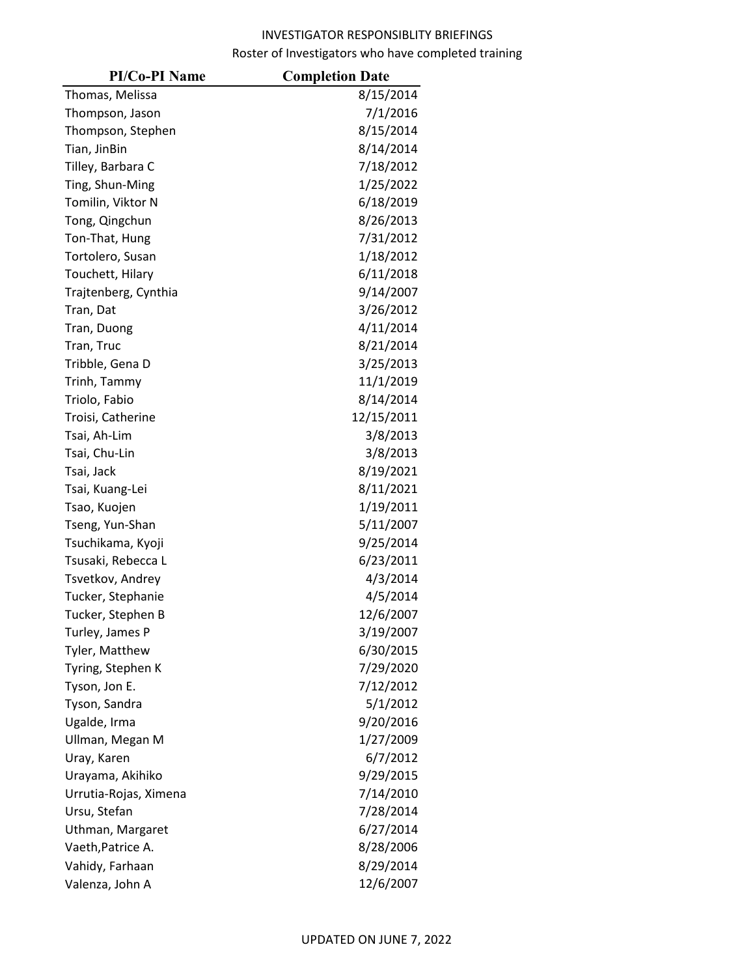| <b>PI/Co-PI Name</b>  | <b>Completion Date</b> |
|-----------------------|------------------------|
| Thomas, Melissa       | 8/15/2014              |
| Thompson, Jason       | 7/1/2016               |
| Thompson, Stephen     | 8/15/2014              |
| Tian, JinBin          | 8/14/2014              |
| Tilley, Barbara C     | 7/18/2012              |
| Ting, Shun-Ming       | 1/25/2022              |
| Tomilin, Viktor N     | 6/18/2019              |
| Tong, Qingchun        | 8/26/2013              |
| Ton-That, Hung        | 7/31/2012              |
| Tortolero, Susan      | 1/18/2012              |
| Touchett, Hilary      | 6/11/2018              |
| Trajtenberg, Cynthia  | 9/14/2007              |
| Tran, Dat             | 3/26/2012              |
| Tran, Duong           | 4/11/2014              |
| Tran, Truc            | 8/21/2014              |
| Tribble, Gena D       | 3/25/2013              |
| Trinh, Tammy          | 11/1/2019              |
| Triolo, Fabio         | 8/14/2014              |
| Troisi, Catherine     | 12/15/2011             |
| Tsai, Ah-Lim          | 3/8/2013               |
| Tsai, Chu-Lin         | 3/8/2013               |
| Tsai, Jack            | 8/19/2021              |
| Tsai, Kuang-Lei       | 8/11/2021              |
| Tsao, Kuojen          | 1/19/2011              |
| Tseng, Yun-Shan       | 5/11/2007              |
| Tsuchikama, Kyoji     | 9/25/2014              |
| Tsusaki, Rebecca L    | 6/23/2011              |
| Tsvetkov, Andrey      | 4/3/2014               |
| Tucker, Stephanie     | 4/5/2014               |
| Tucker, Stephen B     | 12/6/2007              |
| Turley, James P       | 3/19/2007              |
| Tyler, Matthew        | 6/30/2015              |
| Tyring, Stephen K     | 7/29/2020              |
| Tyson, Jon E.         | 7/12/2012              |
| Tyson, Sandra         | 5/1/2012               |
| Ugalde, Irma          | 9/20/2016              |
| Ullman, Megan M       | 1/27/2009              |
| Uray, Karen           | 6/7/2012               |
| Urayama, Akihiko      | 9/29/2015              |
| Urrutia-Rojas, Ximena | 7/14/2010              |
| Ursu, Stefan          | 7/28/2014              |
| Uthman, Margaret      | 6/27/2014              |
| Vaeth, Patrice A.     | 8/28/2006              |
| Vahidy, Farhaan       | 8/29/2014              |
| Valenza, John A       | 12/6/2007              |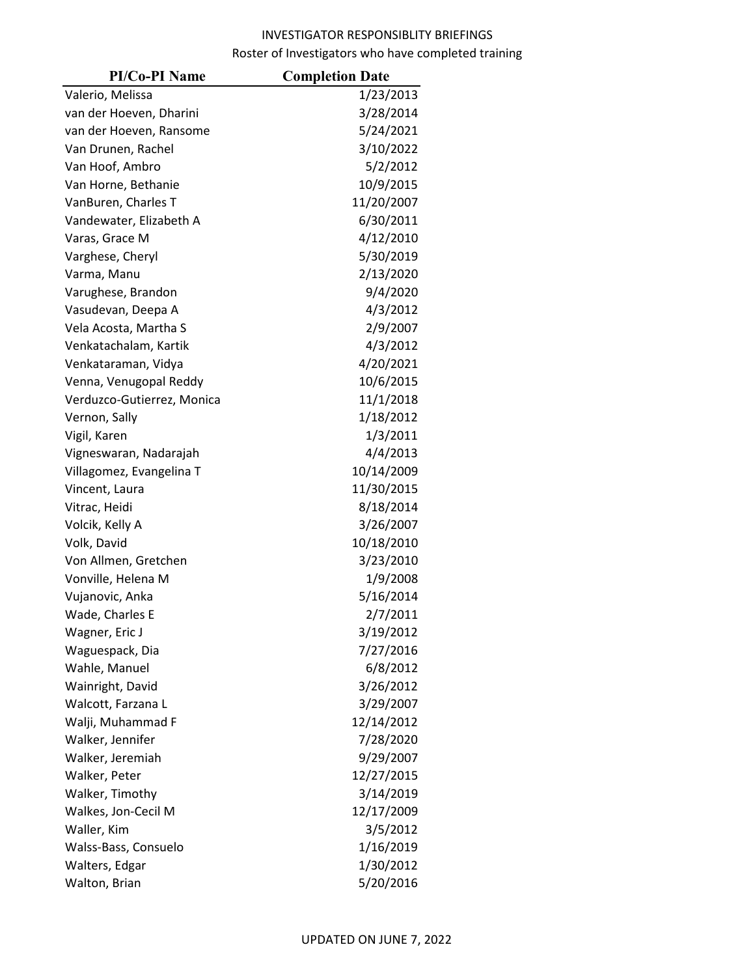| <b>PI/Co-PI Name</b>       | <b>Completion Date</b> |
|----------------------------|------------------------|
| Valerio, Melissa           | 1/23/2013              |
| van der Hoeven, Dharini    | 3/28/2014              |
| van der Hoeven, Ransome    | 5/24/2021              |
| Van Drunen, Rachel         | 3/10/2022              |
| Van Hoof, Ambro            | 5/2/2012               |
| Van Horne, Bethanie        | 10/9/2015              |
| VanBuren, Charles T        | 11/20/2007             |
| Vandewater, Elizabeth A    | 6/30/2011              |
| Varas, Grace M             | 4/12/2010              |
| Varghese, Cheryl           | 5/30/2019              |
| Varma, Manu                | 2/13/2020              |
| Varughese, Brandon         | 9/4/2020               |
| Vasudevan, Deepa A         | 4/3/2012               |
| Vela Acosta, Martha S      | 2/9/2007               |
| Venkatachalam, Kartik      | 4/3/2012               |
| Venkataraman, Vidya        | 4/20/2021              |
| Venna, Venugopal Reddy     | 10/6/2015              |
| Verduzco-Gutierrez, Monica | 11/1/2018              |
| Vernon, Sally              | 1/18/2012              |
| Vigil, Karen               | 1/3/2011               |
| Vigneswaran, Nadarajah     | 4/4/2013               |
| Villagomez, Evangelina T   | 10/14/2009             |
| Vincent, Laura             | 11/30/2015             |
| Vitrac, Heidi              | 8/18/2014              |
| Volcik, Kelly A            | 3/26/2007              |
| Volk, David                | 10/18/2010             |
| Von Allmen, Gretchen       | 3/23/2010              |
| Vonville, Helena M         | 1/9/2008               |
| Vujanovic, Anka            | 5/16/2014              |
| Wade, Charles E            | 2/7/2011               |
| Wagner, Eric J             | 3/19/2012              |
| Waguespack, Dia            | 7/27/2016              |
| Wahle, Manuel              | 6/8/2012               |
| Wainright, David           | 3/26/2012              |
| Walcott, Farzana L         | 3/29/2007              |
| Walji, Muhammad F          | 12/14/2012             |
| Walker, Jennifer           | 7/28/2020              |
| Walker, Jeremiah           | 9/29/2007              |
| Walker, Peter              | 12/27/2015             |
| Walker, Timothy            | 3/14/2019              |
| Walkes, Jon-Cecil M        | 12/17/2009             |
| Waller, Kim                | 3/5/2012               |
| Walss-Bass, Consuelo       | 1/16/2019              |
| Walters, Edgar             | 1/30/2012              |
| Walton, Brian              | 5/20/2016              |
|                            |                        |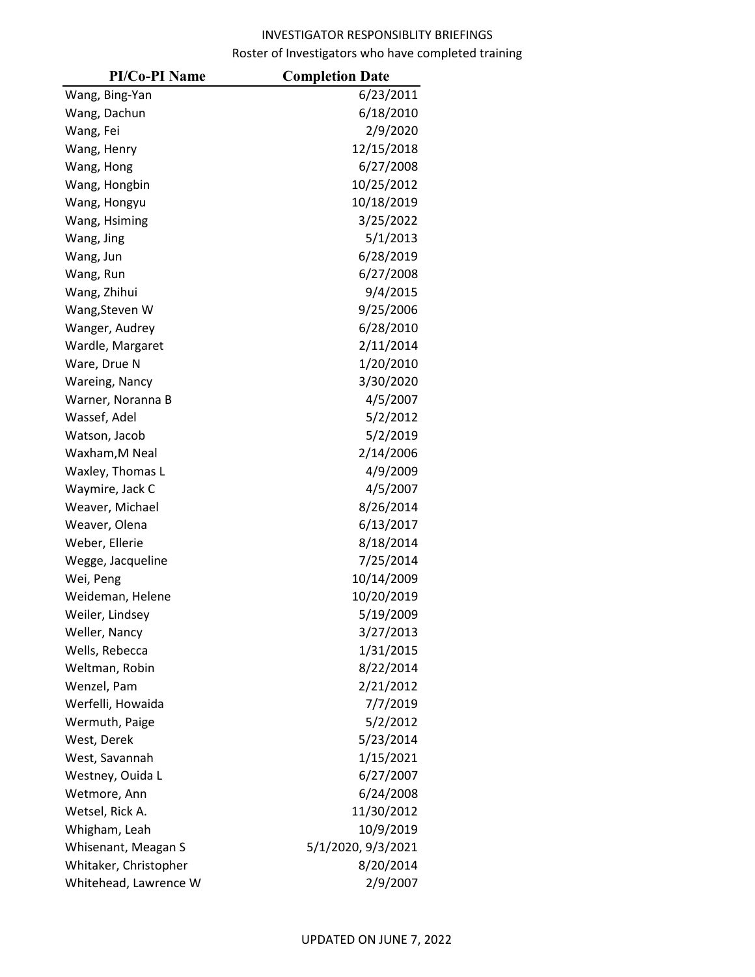| <b>PI/Co-PI Name</b>  | <b>Completion Date</b> |
|-----------------------|------------------------|
| Wang, Bing-Yan        | 6/23/2011              |
| Wang, Dachun          | 6/18/2010              |
| Wang, Fei             | 2/9/2020               |
| Wang, Henry           | 12/15/2018             |
| Wang, Hong            | 6/27/2008              |
| Wang, Hongbin         | 10/25/2012             |
| Wang, Hongyu          | 10/18/2019             |
| Wang, Hsiming         | 3/25/2022              |
| Wang, Jing            | 5/1/2013               |
| Wang, Jun             | 6/28/2019              |
| Wang, Run             | 6/27/2008              |
| Wang, Zhihui          | 9/4/2015               |
| Wang, Steven W        | 9/25/2006              |
| Wanger, Audrey        | 6/28/2010              |
| Wardle, Margaret      | 2/11/2014              |
| Ware, Drue N          | 1/20/2010              |
| Wareing, Nancy        | 3/30/2020              |
| Warner, Noranna B     | 4/5/2007               |
| Wassef, Adel          | 5/2/2012               |
| Watson, Jacob         | 5/2/2019               |
| Waxham, M Neal        | 2/14/2006              |
| Waxley, Thomas L      | 4/9/2009               |
| Waymire, Jack C       | 4/5/2007               |
| Weaver, Michael       | 8/26/2014              |
| Weaver, Olena         | 6/13/2017              |
| Weber, Ellerie        | 8/18/2014              |
| Wegge, Jacqueline     | 7/25/2014              |
| Wei, Peng             | 10/14/2009             |
| Weideman, Helene      | 10/20/2019             |
| Weiler, Lindsey       | 5/19/2009              |
| Weller, Nancy         | 3/27/2013              |
| Wells, Rebecca        | 1/31/2015              |
| Weltman, Robin        | 8/22/2014              |
| Wenzel, Pam           | 2/21/2012              |
| Werfelli, Howaida     | 7/7/2019               |
| Wermuth, Paige        | 5/2/2012               |
| West, Derek           | 5/23/2014              |
| West, Savannah        | 1/15/2021              |
| Westney, Ouida L      | 6/27/2007              |
| Wetmore, Ann          | 6/24/2008              |
| Wetsel, Rick A.       | 11/30/2012             |
| Whigham, Leah         | 10/9/2019              |
| Whisenant, Meagan S   | 5/1/2020, 9/3/2021     |
| Whitaker, Christopher | 8/20/2014              |
| Whitehead, Lawrence W | 2/9/2007               |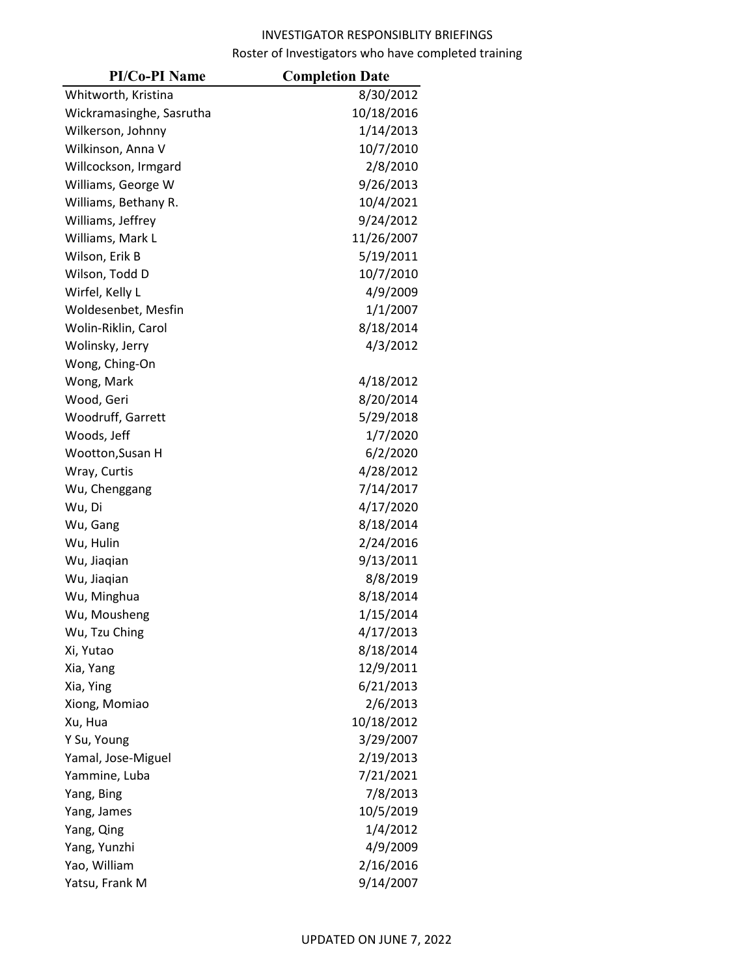| <b>PI/Co-PI Name</b>     | <b>Completion Date</b> |
|--------------------------|------------------------|
| Whitworth, Kristina      | 8/30/2012              |
| Wickramasinghe, Sasrutha | 10/18/2016             |
| Wilkerson, Johnny        | 1/14/2013              |
| Wilkinson, Anna V        | 10/7/2010              |
| Willcockson, Irmgard     | 2/8/2010               |
| Williams, George W       | 9/26/2013              |
| Williams, Bethany R.     | 10/4/2021              |
| Williams, Jeffrey        | 9/24/2012              |
| Williams, Mark L         | 11/26/2007             |
| Wilson, Erik B           | 5/19/2011              |
| Wilson, Todd D           | 10/7/2010              |
| Wirfel, Kelly L          | 4/9/2009               |
| Woldesenbet, Mesfin      | 1/1/2007               |
| Wolin-Riklin, Carol      | 8/18/2014              |
| Wolinsky, Jerry          | 4/3/2012               |
| Wong, Ching-On           |                        |
| Wong, Mark               | 4/18/2012              |
| Wood, Geri               | 8/20/2014              |
| Woodruff, Garrett        | 5/29/2018              |
| Woods, Jeff              | 1/7/2020               |
| Wootton, Susan H         | 6/2/2020               |
| Wray, Curtis             | 4/28/2012              |
| Wu, Chenggang            | 7/14/2017              |
| Wu, Di                   | 4/17/2020              |
| Wu, Gang                 | 8/18/2014              |
| Wu, Hulin                | 2/24/2016              |
| Wu, Jiaqian              | 9/13/2011              |
| Wu, Jiaqian              | 8/8/2019               |
| Wu, Minghua              | 8/18/2014              |
| Wu, Mousheng             | 1/15/2014              |
| Wu, Tzu Ching            | 4/17/2013              |
| Xi, Yutao                | 8/18/2014              |
| Xia, Yang                | 12/9/2011              |
| Xia, Ying                | 6/21/2013              |
| Xiong, Momiao            | 2/6/2013               |
| Xu, Hua                  | 10/18/2012             |
| Y Su, Young              | 3/29/2007              |
| Yamal, Jose-Miguel       | 2/19/2013              |
| Yammine, Luba            | 7/21/2021              |
| Yang, Bing               | 7/8/2013               |
| Yang, James              | 10/5/2019              |
| Yang, Qing               | 1/4/2012               |
| Yang, Yunzhi             | 4/9/2009               |
| Yao, William             | 2/16/2016              |
| Yatsu, Frank M           | 9/14/2007              |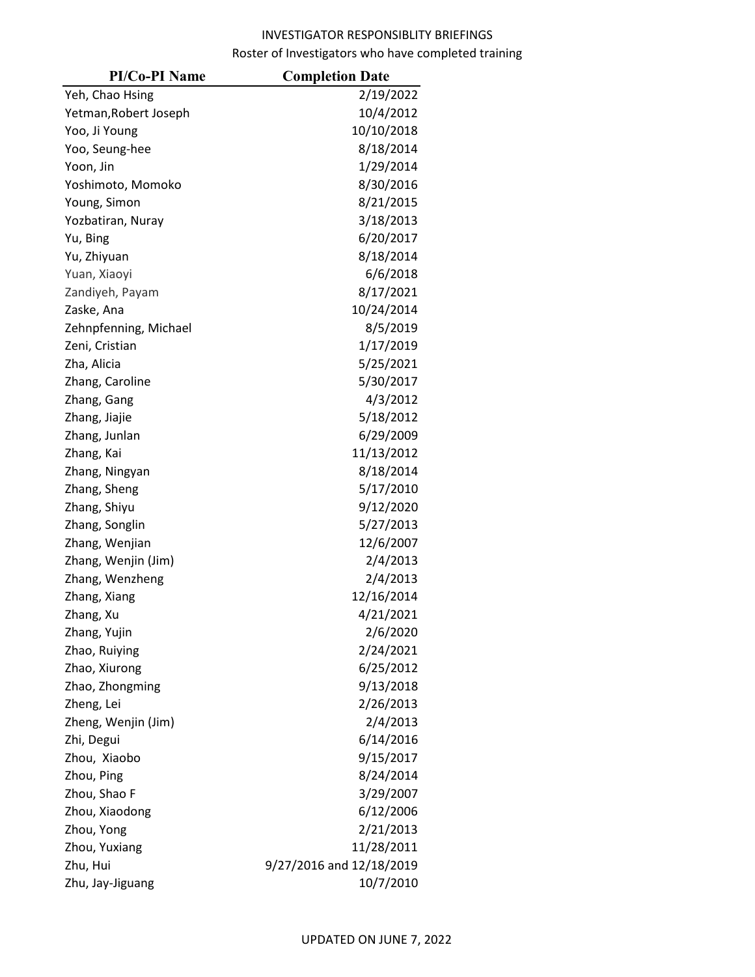| <b>PI/Co-PI Name</b>  | <b>Completion Date</b>   |
|-----------------------|--------------------------|
| Yeh, Chao Hsing       | 2/19/2022                |
| Yetman, Robert Joseph | 10/4/2012                |
| Yoo, Ji Young         | 10/10/2018               |
| Yoo, Seung-hee        | 8/18/2014                |
| Yoon, Jin             | 1/29/2014                |
| Yoshimoto, Momoko     | 8/30/2016                |
| Young, Simon          | 8/21/2015                |
| Yozbatiran, Nuray     | 3/18/2013                |
| Yu, Bing              | 6/20/2017                |
| Yu, Zhiyuan           | 8/18/2014                |
| Yuan, Xiaoyi          | 6/6/2018                 |
| Zandiyeh, Payam       | 8/17/2021                |
| Zaske, Ana            | 10/24/2014               |
| Zehnpfenning, Michael | 8/5/2019                 |
| Zeni, Cristian        | 1/17/2019                |
| Zha, Alicia           | 5/25/2021                |
| Zhang, Caroline       | 5/30/2017                |
| Zhang, Gang           | 4/3/2012                 |
| Zhang, Jiajie         | 5/18/2012                |
| Zhang, Junlan         | 6/29/2009                |
| Zhang, Kai            | 11/13/2012               |
| Zhang, Ningyan        | 8/18/2014                |
| Zhang, Sheng          | 5/17/2010                |
| Zhang, Shiyu          | 9/12/2020                |
| Zhang, Songlin        | 5/27/2013                |
| Zhang, Wenjian        | 12/6/2007                |
| Zhang, Wenjin (Jim)   | 2/4/2013                 |
| Zhang, Wenzheng       | 2/4/2013                 |
| Zhang, Xiang          | 12/16/2014               |
| Zhang, Xu             | 4/21/2021                |
| Zhang, Yujin          | 2/6/2020                 |
| Zhao, Ruiying         | 2/24/2021                |
| Zhao, Xiurong         | 6/25/2012                |
| Zhao, Zhongming       | 9/13/2018                |
| Zheng, Lei            | 2/26/2013                |
| Zheng, Wenjin (Jim)   | 2/4/2013                 |
| Zhi, Degui            | 6/14/2016                |
| Zhou, Xiaobo          | 9/15/2017                |
| Zhou, Ping            | 8/24/2014                |
| Zhou, Shao F          | 3/29/2007                |
| Zhou, Xiaodong        | 6/12/2006                |
| Zhou, Yong            | 2/21/2013                |
| Zhou, Yuxiang         | 11/28/2011               |
| Zhu, Hui              | 9/27/2016 and 12/18/2019 |
| Zhu, Jay-Jiguang      | 10/7/2010                |